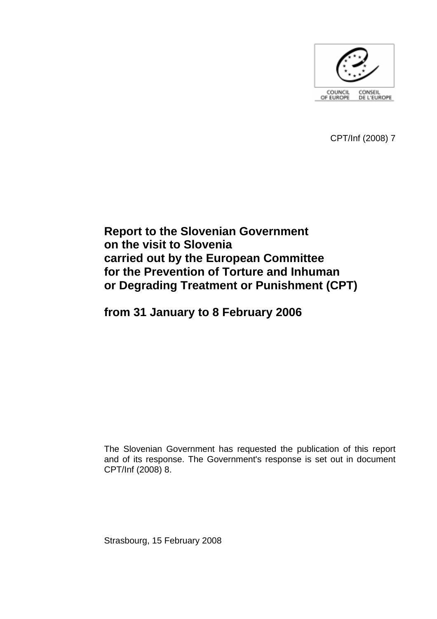

CPT/Inf (2008) 7

# **Report to the Slovenian Government on the visit to Slovenia carried out by the European Committee for the Prevention of Torture and Inhuman or Degrading Treatment or Punishment (CPT)**

**from 31 January to 8 February 2006** 

The Slovenian Government has requested the publication of this report and of its response. The Government's response is set out in document CPT/Inf (2008) 8.

Strasbourg, 15 February 2008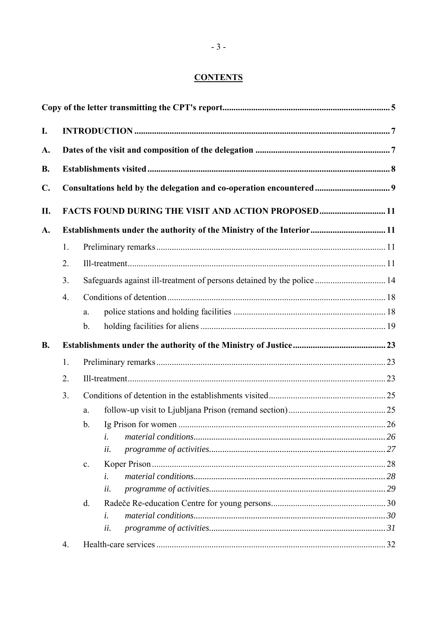## **CONTENTS**

| I.                          |                                                                       |                                                                        |  |  |    |
|-----------------------------|-----------------------------------------------------------------------|------------------------------------------------------------------------|--|--|----|
| A.                          |                                                                       |                                                                        |  |  |    |
| <b>B.</b><br>$\mathbf{C}$ . |                                                                       |                                                                        |  |  |    |
|                             |                                                                       |                                                                        |  |  | Π. |
| A.                          | Establishments under the authority of the Ministry of the Interior 11 |                                                                        |  |  |    |
|                             | 1.                                                                    |                                                                        |  |  |    |
|                             | 2.                                                                    |                                                                        |  |  |    |
|                             | 3.                                                                    | Safeguards against ill-treatment of persons detained by the police  14 |  |  |    |
|                             | 4.                                                                    |                                                                        |  |  |    |
|                             |                                                                       | a.                                                                     |  |  |    |
|                             |                                                                       | $b_{\cdot}$                                                            |  |  |    |
| <b>B.</b>                   |                                                                       |                                                                        |  |  |    |
|                             | 1.                                                                    |                                                                        |  |  |    |
|                             | 2.                                                                    |                                                                        |  |  |    |
|                             | 3.                                                                    |                                                                        |  |  |    |
|                             |                                                                       | a.                                                                     |  |  |    |
|                             |                                                                       | b.                                                                     |  |  |    |
|                             |                                                                       | i.                                                                     |  |  |    |
|                             |                                                                       | ii.                                                                    |  |  |    |
|                             |                                                                       | $\mathbf{c}$ .                                                         |  |  |    |
|                             |                                                                       | i.                                                                     |  |  |    |
|                             |                                                                       | ii.                                                                    |  |  |    |
|                             |                                                                       | d.                                                                     |  |  |    |
|                             |                                                                       | i.                                                                     |  |  |    |
|                             |                                                                       | ii.                                                                    |  |  |    |
|                             | 4.                                                                    |                                                                        |  |  |    |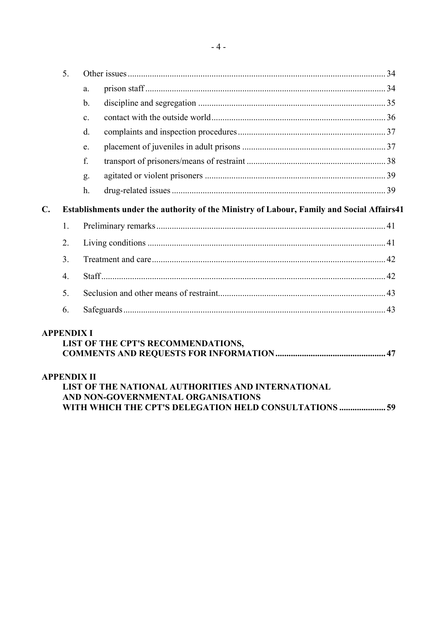|                      | a.                                                                                        |                                                                                                                                                                           |  |
|----------------------|-------------------------------------------------------------------------------------------|---------------------------------------------------------------------------------------------------------------------------------------------------------------------------|--|
|                      | $\mathbf b$ .                                                                             |                                                                                                                                                                           |  |
|                      | $\mathbf{c}$ .                                                                            |                                                                                                                                                                           |  |
|                      | d.                                                                                        |                                                                                                                                                                           |  |
|                      | e.                                                                                        |                                                                                                                                                                           |  |
|                      | f.                                                                                        |                                                                                                                                                                           |  |
|                      | g.                                                                                        |                                                                                                                                                                           |  |
|                      | h.                                                                                        |                                                                                                                                                                           |  |
|                      | Establishments under the authority of the Ministry of Labour, Family and Social Affairs41 |                                                                                                                                                                           |  |
| 1.                   |                                                                                           |                                                                                                                                                                           |  |
| 2.<br>3 <sub>1</sub> |                                                                                           |                                                                                                                                                                           |  |
|                      |                                                                                           |                                                                                                                                                                           |  |
| $\overline{4}$ .     |                                                                                           |                                                                                                                                                                           |  |
| 5.                   |                                                                                           |                                                                                                                                                                           |  |
| 6.                   |                                                                                           |                                                                                                                                                                           |  |
|                      |                                                                                           |                                                                                                                                                                           |  |
|                      |                                                                                           | <b>APPENDIX I</b><br>LIST OF THE CPT'S RECOMMENDATIONS,<br><b>APPENDIX II</b><br>LIST OF THE NATIONAL AUTHORITIES AND INTERNATIONAL<br>AND NON-GOVERNMENTAL ORGANISATIONS |  |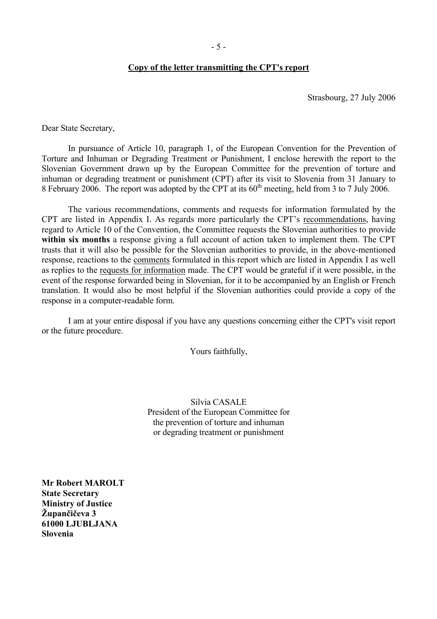#### **Copy of the letter transmitting the CPT's report**

Strasbourg, 27 July 2006

<span id="page-4-0"></span>Dear State Secretary,

 In pursuance of Article 10, paragraph 1, of the European Convention for the Prevention of Torture and Inhuman or Degrading Treatment or Punishment, I enclose herewith the report to the Slovenian Government drawn up by the European Committee for the prevention of torture and inhuman or degrading treatment or punishment (CPT) after its visit to Slovenia from 31 January to 8 February 2006. The report was adopted by the CPT at its  $60^{th}$  meeting, held from 3 to 7 July 2006.

The various recommendations, comments and requests for information formulated by the CPT are listed in Appendix I. As regards more particularly the CPT's recommendations, having regard to Article 10 of the Convention, the Committee requests the Slovenian authorities to provide **within six months** a response giving a full account of action taken to implement them. The CPT trusts that it will also be possible for the Slovenian authorities to provide, in the above-mentioned response, reactions to the comments formulated in this report which are listed in Appendix I as well as replies to the requests for information made. The CPT would be grateful if it were possible, in the event of the response forwarded being in Slovenian, for it to be accompanied by an English or French translation. It would also be most helpful if the Slovenian authorities could provide a copy of the response in a computer-readable form.

 I am at your entire disposal if you have any questions concerning either the CPT's visit report or the future procedure.

Yours faithfully,

Silvia CASALE President of the European Committee for the prevention of torture and inhuman or degrading treatment or punishment

**Mr Robert MAROLT State Secretary Ministry of Justice**   $\check{Z}$ upančičeva 3 **61000 LJUBLJANA Slovenia**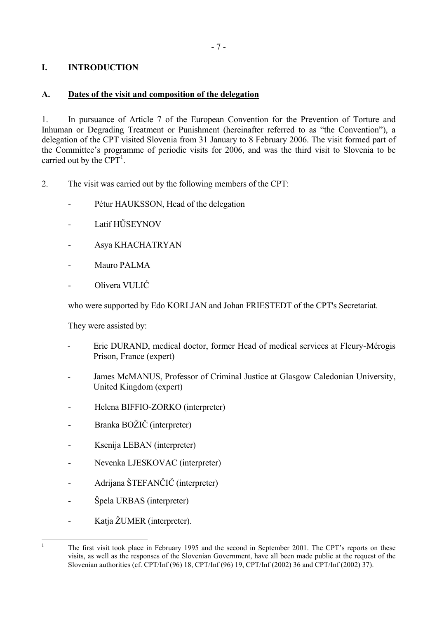## <span id="page-6-0"></span>**I. INTRODUCTION**

## **A. Dates of the visit and composition of the delegation**

1. In pursuance of Article 7 of the European Convention for the Prevention of Torture and Inhuman or Degrading Treatment or Punishment (hereinafter referred to as "the Convention"), a delegation of the CPT visited Slovenia from 31 January to 8 February 2006. The visit formed part of the Committee's programme of periodic visits for 2006, and was the third visit to Slovenia to be carried out by the  $CPT<sup>1</sup>$ .

- 2. The visit was carried out by the following members of the CPT:
	- Pétur HAUKSSON, Head of the delegation
	- Latif HŰSEYNOV
	- Asya KHACHATRYAN
	- Mauro PALMA
	- Olivera VULIĆ

who were supported by Edo KORLJAN and Johan FRIESTEDT of the CPT's Secretariat.

They were assisted by:

- Eric DURAND, medical doctor, former Head of medical services at Fleury-Mérogis Prison, France (expert)
- James McMANUS, Professor of Criminal Justice at Glasgow Caledonian University, United Kingdom (expert)
- Helena BIFFIO-ZORKO (interpreter)
- Branka BOŽIČ (interpreter)
- Ksenija LEBAN (interpreter)
- Nevenka LJESKOVAC (interpreter)
- Adrijana äTEFANČIČ (interpreter)
- Špela URBAS (interpreter)
- Katja ŽUMER (interpreter).

 $\frac{1}{1}$ 

<span id="page-6-1"></span>The first visit took place in February 1995 and the second in September 2001. The CPT's reports on these visits, as well as the responses of the Slovenian Government, have all been made public at the request of the Slovenian authorities (cf. CPT/Inf (96) 18, CPT/Inf (96) 19, CPT/Inf (2002) 36 and CPT/Inf (2002) 37).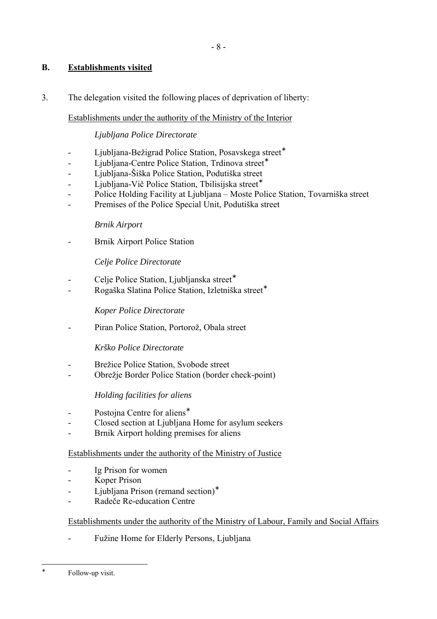## <span id="page-7-0"></span>**B. Establishments visited**

3. The delegation visited the following places of deprivation of liberty:

### Establishments under the authority of the Ministry of the Interior

### *Ljubljana Police Directorate*

- Ljubljana-Bežigrad Police Station, Posavskega street<sup>\*</sup>
- Ljubljana-Centre Police Station, Trdinova street<sup>∗</sup>
- Ljubljana-äiöka Police Station, Podutiöka street
- Ljubljana-Vič Police Station, Tbilisijska street<sup>∗</sup>
- Police Holding Facility at Ljubljana Moste Police Station, Tovarniška street
- Premises of the Police Special Unit, Podutiška street

### *Brnik Airport*

Brnik Airport Police Station

### *Celje Police Directorate*

- Celie Police Station, Ljublianska street<sup>∗</sup>
- Rogaöka Slatina Police Station, Izletniöka street<sup>∗</sup>

### *Koper Police Directorate*

- Piran Police Station, Portorož, Obala street

### *Krško Police Directorate*

- Brežice Police Station, Svobode street
- Obrežje Border Police Station (border check-point)

### *Holding facilities for aliens*

- Postojna Centre for aliens<sup>\*</sup>
- Closed section at Ljubljana Home for asylum seekers
- Brnik Airport holding premises for aliens

### Establishments under the authority of the Ministry of Justice

- Ig Prison for women
- Koper Prison
- Ljubljana Prison (remand section)<sup>∗</sup>
- Radeče Re-education Centre

## Establishments under the authority of the Ministry of Labour, Family and Social Affairs

Fužine Home for Elderly Persons, Ljubljana

<span id="page-7-1"></span> $\overline{a}$ ∗

Follow-up visit.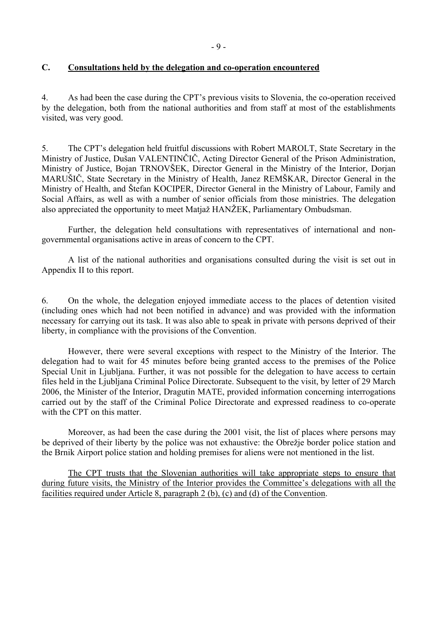### <span id="page-8-0"></span>**C. Consultations held by the delegation and co-operation encountered**

4. As had been the case during the CPT's previous visits to Slovenia, the co-operation received by the delegation, both from the national authorities and from staff at most of the establishments visited, was very good.

5. The CPT's delegation held fruitful discussions with Robert MAROLT, State Secretary in the Ministry of Justice, Duöan VALENTINČIČ, Acting Director General of the Prison Administration, Ministry of Justice, Bojan TRNOVäEK, Director General in the Ministry of the Interior, Dorjan MARUäIČ, State Secretary in the Ministry of Health, Janez REMäKAR, Director General in the Ministry of Health, and ätefan KOCIPER, Director General in the Ministry of Labour, Family and Social Affairs, as well as with a number of senior officials from those ministries. The delegation also appreciated the opportunity to meet Matjaž HANŽEK, Parliamentary Ombudsman.

 Further, the delegation held consultations with representatives of international and nongovernmental organisations active in areas of concern to the CPT.

 A list of the national authorities and organisations consulted during the visit is set out in Appendix II to this report.

6. On the whole, the delegation enjoyed immediate access to the places of detention visited (including ones which had not been notified in advance) and was provided with the information necessary for carrying out its task. It was also able to speak in private with persons deprived of their liberty, in compliance with the provisions of the Convention.

However, there were several exceptions with respect to the Ministry of the Interior. The delegation had to wait for 45 minutes before being granted access to the premises of the Police Special Unit in Ljubljana. Further, it was not possible for the delegation to have access to certain files held in the Ljubljana Criminal Police Directorate. Subsequent to the visit, by letter of 29 March 2006, the Minister of the Interior, Dragutin MATE, provided information concerning interrogations carried out by the staff of the Criminal Police Directorate and expressed readiness to co-operate with the CPT on this matter.

Moreover, as had been the case during the 2001 visit, the list of places where persons may be deprived of their liberty by the police was not exhaustive: the Obrežje border police station and the Brnik Airport police station and holding premises for aliens were not mentioned in the list.

The CPT trusts that the Slovenian authorities will take appropriate steps to ensure that during future visits, the Ministry of the Interior provides the Committee's delegations with all the facilities required under Article 8, paragraph 2 (b), (c) and (d) of the Convention.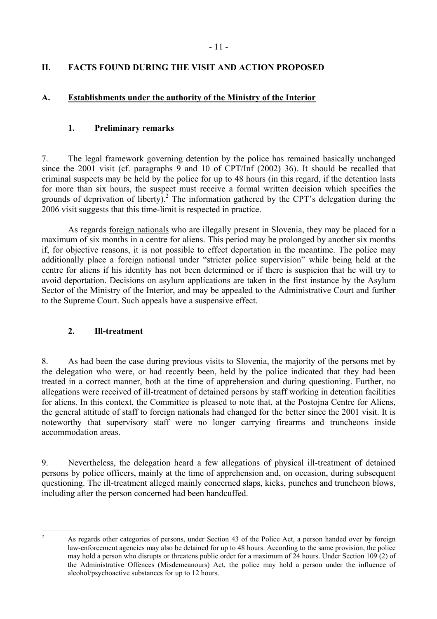## <span id="page-10-0"></span>**II. FACTS FOUND DURING THE VISIT AND ACTION PROPOSED**

### **A. Establishments under the authority of the Ministry of the Interior**

### **1. Preliminary remarks**

7. The legal framework governing detention by the police has remained basically unchanged since the 2001 visit (cf. paragraphs 9 and 10 of CPT/Inf (2002) 36). It should be recalled that criminal suspects may be held by the police for up to 48 hours (in this regard, if the detention lasts for more than six hours, the suspect must receive a formal written decision which specifies the grounds of deprivation of liberty).<sup>[2](#page-10-1)</sup> The information gathered by the CPT's delegation during the 2006 visit suggests that this time-limit is respected in practice.

 As regards foreign nationals who are illegally present in Slovenia, they may be placed for a maximum of six months in a centre for aliens. This period may be prolonged by another six months if, for objective reasons, it is not possible to effect deportation in the meantime. The police may additionally place a foreign national under "stricter police supervision" while being held at the centre for aliens if his identity has not been determined or if there is suspicion that he will try to avoid deportation. Decisions on asylum applications are taken in the first instance by the Asylum Sector of the Ministry of the Interior, and may be appealed to the Administrative Court and further to the Supreme Court. Such appeals have a suspensive effect.

### **2. Ill-treatment**

8. As had been the case during previous visits to Slovenia, the majority of the persons met by the delegation who were, or had recently been, held by the police indicated that they had been treated in a correct manner, both at the time of apprehension and during questioning. Further, no allegations were received of ill-treatment of detained persons by staff working in detention facilities for aliens. In this context, the Committee is pleased to note that, at the Postojna Centre for Aliens, the general attitude of staff to foreign nationals had changed for the better since the 2001 visit. It is noteworthy that supervisory staff were no longer carrying firearms and truncheons inside accommodation areas.

9. Nevertheless, the delegation heard a few allegations of physical ill-treatment of detained persons by police officers, mainly at the time of apprehension and, on occasion, during subsequent questioning. The ill-treatment alleged mainly concerned slaps, kicks, punches and truncheon blows, including after the person concerned had been handcuffed.

<span id="page-10-1"></span> $\frac{1}{2}$ 

As regards other categories of persons, under Section 43 of the Police Act, a person handed over by foreign law-enforcement agencies may also be detained for up to 48 hours. According to the same provision, the police may hold a person who disrupts or threatens public order for a maximum of 24 hours. Under Section 109 (2) of the Administrative Offences (Misdemeanours) Act, the police may hold a person under the influence of alcohol/psychoactive substances for up to 12 hours.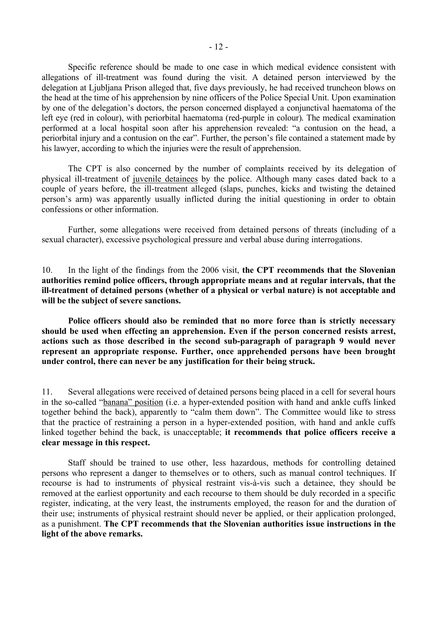Specific reference should be made to one case in which medical evidence consistent with allegations of ill-treatment was found during the visit. A detained person interviewed by the delegation at Ljubljana Prison alleged that, five days previously, he had received truncheon blows on the head at the time of his apprehension by nine officers of the Police Special Unit. Upon examination by one of the delegation's doctors, the person concerned displayed a conjunctival haematoma of the left eye (red in colour), with periorbital haematoma (red-purple in colour)*.* The medical examination performed at a local hospital soon after his apprehension revealed: "a contusion on the head, a periorbital injury and a contusion on the ear". Further, the person's file contained a statement made by his lawyer, according to which the injuries were the result of apprehension.

The CPT is also concerned by the number of complaints received by its delegation of physical ill-treatment of juvenile detainees by the police. Although many cases dated back to a couple of years before, the ill-treatment alleged (slaps, punches, kicks and twisting the detained personís arm) was apparently usually inflicted during the initial questioning in order to obtain confessions or other information.

Further, some allegations were received from detained persons of threats (including of a sexual character), excessive psychological pressure and verbal abuse during interrogations.

10. In the light of the findings from the 2006 visit, **the CPT recommends that the Slovenian authorities remind police officers, through appropriate means and at regular intervals, that the ill-treatment of detained persons (whether of a physical or verbal nature) is not acceptable and will be the subject of severe sanctions.** 

**Police officers should also be reminded that no more force than is strictly necessary should be used when effecting an apprehension. Even if the person concerned resists arrest, actions such as those described in the second sub-paragraph of paragraph 9 would never represent an appropriate response. Further, once apprehended persons have been brought under control, there can never be any justification for their being struck.**

11. Several allegations were received of detained persons being placed in a cell for several hours in the so-called "banana" position (i.e. a hyper-extended position with hand and ankle cuffs linked together behind the back), apparently to "calm them down". The Committee would like to stress that the practice of restraining a person in a hyper-extended position, with hand and ankle cuffs linked together behind the back, is unacceptable; **it recommends that police officers receive a clear message in this respect.**

Staff should be trained to use other, less hazardous, methods for controlling detained persons who represent a danger to themselves or to others, such as manual control techniques. If recourse is had to instruments of physical restraint vis-à-vis such a detainee, they should be removed at the earliest opportunity and each recourse to them should be duly recorded in a specific register, indicating, at the very least, the instruments employed, the reason for and the duration of their use; instruments of physical restraint should never be applied, or their application prolonged, as a punishment. **The CPT recommends that the Slovenian authorities issue instructions in the light of the above remarks.**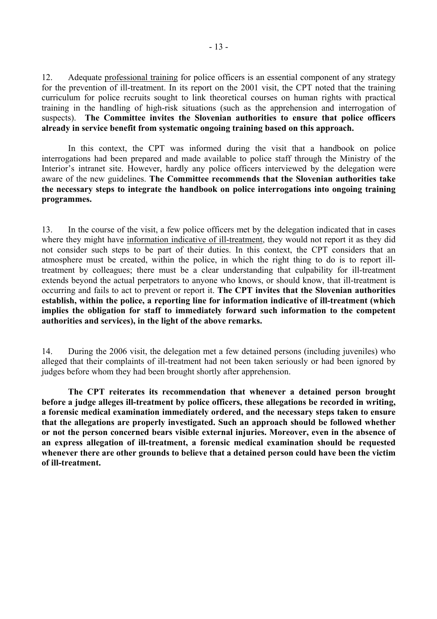12. Adequate professional training for police officers is an essential component of any strategy for the prevention of ill-treatment. In its report on the 2001 visit, the CPT noted that the training curriculum for police recruits sought to link theoretical courses on human rights with practical training in the handling of high-risk situations (such as the apprehension and interrogation of suspects). **The Committee invites the Slovenian authorities to ensure that police officers already in service benefit from systematic ongoing training based on this approach.** 

In this context, the CPT was informed during the visit that a handbook on police interrogations had been prepared and made available to police staff through the Ministry of the Interior's intranet site. However, hardly any police officers interviewed by the delegation were aware of the new guidelines. **The Committee recommends that the Slovenian authorities take the necessary steps to integrate the handbook on police interrogations into ongoing training programmes.** 

13. In the course of the visit, a few police officers met by the delegation indicated that in cases where they might have information indicative of ill-treatment, they would not report it as they did not consider such steps to be part of their duties. In this context, the CPT considers that an atmosphere must be created, within the police, in which the right thing to do is to report illtreatment by colleagues; there must be a clear understanding that culpability for ill-treatment extends beyond the actual perpetrators to anyone who knows, or should know, that ill-treatment is occurring and fails to act to prevent or report it. **The CPT invites that the Slovenian authorities establish, within the police, a reporting line for information indicative of ill-treatment (which implies the obligation for staff to immediately forward such information to the competent authorities and services), in the light of the above remarks.** 

14. During the 2006 visit, the delegation met a few detained persons (including juveniles) who alleged that their complaints of ill-treatment had not been taken seriously or had been ignored by judges before whom they had been brought shortly after apprehension.

**The CPT reiterates its recommendation that whenever a detained person brought before a judge alleges ill-treatment by police officers, these allegations be recorded in writing, a forensic medical examination immediately ordered, and the necessary steps taken to ensure that the allegations are properly investigated. Such an approach should be followed whether or not the person concerned bears visible external injuries. Moreover, even in the absence of an express allegation of ill-treatment, a forensic medical examination should be requested whenever there are other grounds to believe that a detained person could have been the victim of ill-treatment.**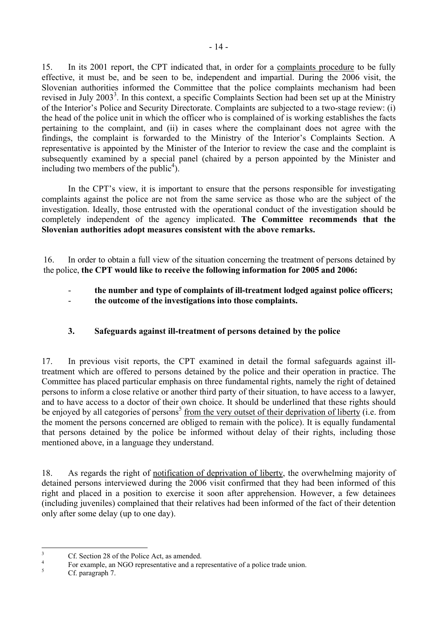<span id="page-13-0"></span>15. In its 2001 report, the CPT indicated that, in order for a complaints procedure to be fully effective, it must be, and be seen to be, independent and impartial. During the 2006 visit, the Slovenian authorities informed the Committee that the police complaints mechanism had been revised in July 200[3](#page-13-1)<sup>3</sup>. In this context, a specific Complaints Section had been set up at the Ministry of the Interior's Police and Security Directorate. Complaints are subjected to a two-stage review: (i) the head of the police unit in which the officer who is complained of is working establishes the facts pertaining to the complaint, and (ii) in cases where the complainant does not agree with the findings, the complaint is forwarded to the Ministry of the Interior's Complaints Section. A representative is appointed by the Minister of the Interior to review the case and the complaint is subsequently examined by a special panel (chaired by a person appointed by the Minister and including two members of the public<sup>4</sup>).

In the CPT's view, it is important to ensure that the persons responsible for investigating complaints against the police are not from the same service as those who are the subject of the investigation. Ideally, those entrusted with the operational conduct of the investigation should be completely independent of the agency implicated. **The Committee recommends that the Slovenian authorities adopt measures consistent with the above remarks.**

16. In order to obtain a full view of the situation concerning the treatment of persons detained by the police, **the CPT would like to receive the following information for 2005 and 2006:** 

- **the number and type of complaints of ill-treatment lodged against police officers;**
- **the outcome of the investigations into those complaints.**

## **3. Safeguards against ill-treatment of persons detained by the police**

17. In previous visit reports, the CPT examined in detail the formal safeguards against illtreatment which are offered to persons detained by the police and their operation in practice. The Committee has placed particular emphasis on three fundamental rights, namely the right of detained persons to inform a close relative or another third party of their situation, to have access to a lawyer, and to have access to a doctor of their own choice. It should be underlined that these rights should be enjoyed by all categories of persons<sup>[5](#page-13-3)</sup> from the very outset of their deprivation of liberty (i.e. from the moment the persons concerned are obliged to remain with the police). It is equally fundamental that persons detained by the police be informed without delay of their rights, including those mentioned above, in a language they understand.

18. As regards the right of notification of deprivation of liberty, the overwhelming majority of detained persons interviewed during the 2006 visit confirmed that they had been informed of this right and placed in a position to exercise it soon after apprehension. However, a few detainees (including juveniles) complained that their relatives had been informed of the fact of their detention only after some delay (up to one day).

 3 Cf. Section 28 of the Police Act, as amended.

<span id="page-13-2"></span><span id="page-13-1"></span><sup>4</sup> For example, an NGO representative and a representative of a police trade union.

<span id="page-13-3"></span>Cf. paragraph 7.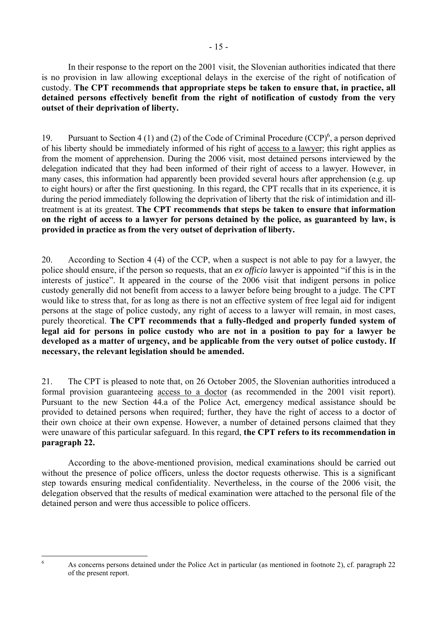In their response to the report on the 2001 visit, the Slovenian authorities indicated that there is no provision in law allowing exceptional delays in the exercise of the right of notification of custody. **The CPT recommends that appropriate steps be taken to ensure that, in practice, all detained persons effectively benefit from the right of notification of custody from the very outset of their deprivation of liberty.** 

19. Pursuant to Section 4 (1) and (2) of the Code of Criminal Procedure  $(CCP)^6$ , a person deprived of his liberty should be immediately informed of his right of access to a lawyer; this right applies as from the moment of apprehension. During the 2006 visit, most detained persons interviewed by the delegation indicated that they had been informed of their right of access to a lawyer. However, in many cases, this information had apparently been provided several hours after apprehension (e.g. up to eight hours) or after the first questioning. In this regard, the CPT recalls that in its experience, it is during the period immediately following the deprivation of liberty that the risk of intimidation and illtreatment is at its greatest. **The CPT recommends that steps be taken to ensure that information on the right of access to a lawyer for persons detained by the police, as guaranteed by law, is provided in practice as from the very outset of deprivation of liberty.**

20. According to Section 4 (4) of the CCP, when a suspect is not able to pay for a lawyer, the police should ensure, if the person so requests, that an *ex officio* lawyer is appointed "if this is in the interests of justice". It appeared in the course of the 2006 visit that indigent persons in police custody generally did not benefit from access to a lawyer before being brought to a judge. The CPT would like to stress that, for as long as there is not an effective system of free legal aid for indigent persons at the stage of police custody, any right of access to a lawyer will remain, in most cases, purely theoretical. **The CPT recommends that a fully-fledged and properly funded system of legal aid for persons in police custody who are not in a position to pay for a lawyer be developed as a matter of urgency, and be applicable from the very outset of police custody. If necessary, the relevant legislation should be amended.** 

21. The CPT is pleased to note that, on 26 October 2005, the Slovenian authorities introduced a formal provision guaranteeing access to a doctor (as recommended in the 2001 visit report). Pursuant to the new Section 44.a of the Police Act, emergency medical assistance should be provided to detained persons when required; further, they have the right of access to a doctor of their own choice at their own expense. However, a number of detained persons claimed that they were unaware of this particular safeguard. In this regard, **the CPT refers to its recommendation in paragraph 22.**

According to the above-mentioned provision, medical examinations should be carried out without the presence of police officers, unless the doctor requests otherwise. This is a significant step towards ensuring medical confidentiality. Nevertheless, in the course of the 2006 visit, the delegation observed that the results of medical examination were attached to the personal file of the detained person and were thus accessible to police officers.

<span id="page-14-0"></span>6

As concerns persons detained under the Police Act in particular (as mentioned in footnote 2), cf. paragraph 22 of the present report.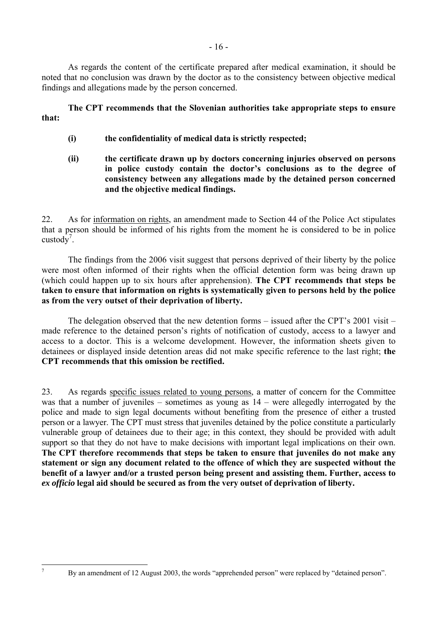As regards the content of the certificate prepared after medical examination, it should be noted that no conclusion was drawn by the doctor as to the consistency between objective medical findings and allegations made by the person concerned.

**The CPT recommends that the Slovenian authorities take appropriate steps to ensure that:** 

- **(i) the confidentiality of medical data is strictly respected;**
- **(ii) the certificate drawn up by doctors concerning injuries observed on persons**  in police custody contain the doctor's conclusions as to the degree of **consistency between any allegations made by the detained person concerned and the objective medical findings.**

22. As for information on rights, an amendment made to Section 44 of the Police Act stipulates that a person should be informed of his rights from the moment he is considered to be in police custody<sup>7</sup>.

The findings from the 2006 visit suggest that persons deprived of their liberty by the police were most often informed of their rights when the official detention form was being drawn up (which could happen up to six hours after apprehension). **The CPT recommends that steps be taken to ensure that information on rights is systematically given to persons held by the police as from the very outset of their deprivation of liberty.**

The delegation observed that the new detention forms  $-$  issued after the CPT's 2001 visit  $$ made reference to the detained person's rights of notification of custody, access to a lawyer and access to a doctor. This is a welcome development. However, the information sheets given to detainees or displayed inside detention areas did not make specific reference to the last right; **the CPT recommends that this omission be rectified.** 

23. As regards specific issues related to young persons, a matter of concern for the Committee was that a number of juveniles – sometimes as young as  $14$  – were allegedly interrogated by the police and made to sign legal documents without benefiting from the presence of either a trusted person or a lawyer. The CPT must stress that juveniles detained by the police constitute a particularly vulnerable group of detainees due to their age; in this context, they should be provided with adult support so that they do not have to make decisions with important legal implications on their own. **The CPT therefore recommends that steps be taken to ensure that juveniles do not make any statement or sign any document related to the offence of which they are suspected without the benefit of a lawyer and/or a trusted person being present and assisting them. Further, access to**  *ex officio* **legal aid should be secured as from the very outset of deprivation of liberty.** 

<span id="page-15-0"></span>By an amendment of 12 August 2003, the words "apprehended person" were replaced by "detained person".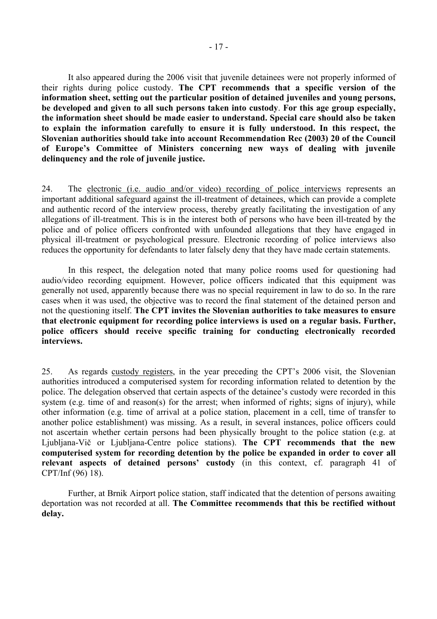It also appeared during the 2006 visit that juvenile detainees were not properly informed of their rights during police custody. **The CPT recommends that a specific version of the information sheet, setting out the particular position of detained juveniles and young persons, be developed and given to all such persons taken into custody**. **For this age group especially, the information sheet should be made easier to understand. Special care should also be taken to explain the information carefully to ensure it is fully understood. In this respect, the Slovenian authorities should take into account Recommendation Rec (2003) 20 of the Council**  of Europe's Committee of Ministers concerning new ways of dealing with juvenile **delinquency and the role of juvenile justice.** 

24. The electronic (i.e. audio and/or video) recording of police interviews represents an important additional safeguard against the ill-treatment of detainees, which can provide a complete and authentic record of the interview process, thereby greatly facilitating the investigation of any allegations of ill-treatment. This is in the interest both of persons who have been ill-treated by the police and of police officers confronted with unfounded allegations that they have engaged in physical ill-treatment or psychological pressure. Electronic recording of police interviews also reduces the opportunity for defendants to later falsely deny that they have made certain statements.

 In this respect, the delegation noted that many police rooms used for questioning had audio/video recording equipment. However, police officers indicated that this equipment was generally not used, apparently because there was no special requirement in law to do so. In the rare cases when it was used, the objective was to record the final statement of the detained person and not the questioning itself. **The CPT invites the Slovenian authorities to take measures to ensure that electronic equipment for recording police interviews is used on a regular basis. Further, police officers should receive specific training for conducting electronically recorded interviews.**

25. As regards custody registers, in the year preceding the CPT's 2006 visit, the Slovenian authorities introduced a computerised system for recording information related to detention by the police. The delegation observed that certain aspects of the detainee's custody were recorded in this system (e.g. time of and reason(s) for the arrest; when informed of rights; signs of injury), while other information (e.g. time of arrival at a police station, placement in a cell, time of transfer to another police establishment) was missing. As a result, in several instances, police officers could not ascertain whether certain persons had been physically brought to the police station (e.g. at Ljubljana-Vič or Ljubljana-Centre police stations). **The CPT recommends that the new computerised system for recording detention by the police be expanded in order to cover all**  relevant aspects of detained persons' custody (in this context, cf. paragraph 41 of CPT/Inf (96) 18).

Further, at Brnik Airport police station, staff indicated that the detention of persons awaiting deportation was not recorded at all. **The Committee recommends that this be rectified without delay.**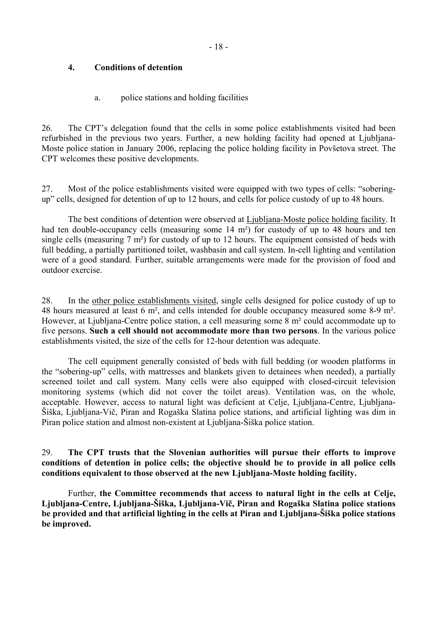### <span id="page-17-0"></span>**4. Conditions of detention**

### a. police stations and holding facilities

26. The CPT's delegation found that the cells in some police establishments visited had been refurbished in the previous two years. Further, a new holding facility had opened at Ljubljana-Moste police station in January 2006, replacing the police holding facility in Povšetova street. The CPT welcomes these positive developments.

27. Most of the police establishments visited were equipped with two types of cells: "soberingupî cells, designed for detention of up to 12 hours, and cells for police custody of up to 48 hours.

 The best conditions of detention were observed at Ljubljana-Moste police holding facility. It had ten double-occupancy cells (measuring some 14 m<sup>2</sup>) for custody of up to 48 hours and ten single cells (measuring 7 m<sup>2</sup>) for custody of up to 12 hours. The equipment consisted of beds with full bedding, a partially partitioned toilet, washbasin and call system. In-cell lighting and ventilation were of a good standard. Further, suitable arrangements were made for the provision of food and outdoor exercise.

28. In the other police establishments visited, single cells designed for police custody of up to 48 hours measured at least 6 m², and cells intended for double occupancy measured some 8-9 m². However, at Ljubljana-Centre police station, a cell measuring some 8 m² could accommodate up to five persons. **Such a cell should not accommodate more than two persons**. In the various police establishments visited, the size of the cells for 12-hour detention was adequate.

The cell equipment generally consisted of beds with full bedding (or wooden platforms in the "sobering-up" cells, with mattresses and blankets given to detainees when needed), a partially screened toilet and call system. Many cells were also equipped with closed-circuit television monitoring systems (which did not cover the toilet areas). Ventilation was, on the whole, acceptable. However, access to natural light was deficient at Celje, Ljubljana-Centre, Ljubljanaäiöka, Ljubljana-Vič, Piran and Rogaöka Slatina police stations, and artificial lighting was dim in Piran police station and almost non-existent at Ljubljana-äiöka police station.

29. **The CPT trusts that the Slovenian authorities will pursue their efforts to improve conditions of detention in police cells; the objective should be to provide in all police cells conditions equivalent to those observed at the new Ljubljana-Moste holding facility.** 

Further, **the Committee recommends that access to natural light in the cells at Celje, Ljubljana-Centre, Ljubljana-äiöka, Ljubljana-Vič, Piran and Rogaöka Slatina police stations be provided and that artificial lighting in the cells at Piran and Ljubljana-äiöka police stations be improved.**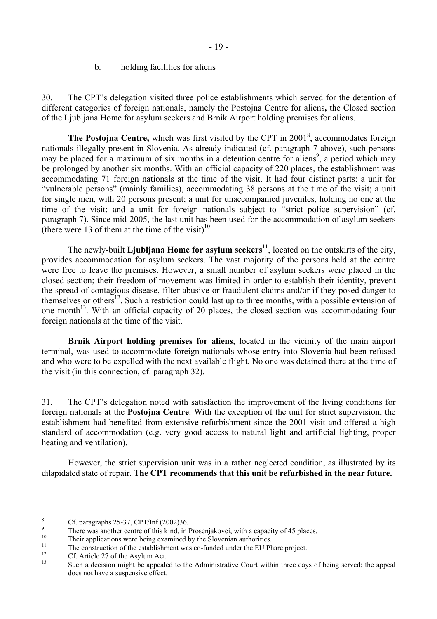#### b. holding facilities for aliens

<span id="page-18-0"></span>30. The CPT's delegation visited three police establishments which served for the detention of different categories of foreign nationals, namely the Postojna Centre for aliens**,** the Closed section of the Ljubljana Home for asylum seekers and Brnik Airport holding premises for aliens.

**The Postojna Centre,** which was first visited by the CPT in 2001<sup>8</sup>, accommodates foreign nationals illegally present in Slovenia. As already indicated (cf. paragraph 7 above), such persons may be placed for a maximum of six months in a detention centre for aliens<sup>9</sup>, a period which may be prolonged by another six months. With an official capacity of 220 places, the establishment was accommodating 71 foreign nationals at the time of the visit. It had four distinct parts: a unit for ìvulnerable personsî (mainly families), accommodating 38 persons at the time of the visit; a unit for single men, with 20 persons present; a unit for unaccompanied juveniles, holding no one at the time of the visit; and a unit for foreign nationals subject to "strict police supervision" (cf. paragraph 7). Since mid-2005, the last unit has been used for the accommodation of asylum seekers (there were 13 of them at the time of the visit)<sup>10</sup>.

The newly-built **Ljubljana Home for asylum seekers**<sup>11</sup>, located on the outskirts of the city, provides accommodation for asylum seekers. The vast majority of the persons held at the centre were free to leave the premises. However, a small number of asylum seekers were placed in the closed section; their freedom of movement was limited in order to establish their identity, prevent the spread of contagious disease, filter abusive or fraudulent claims and/or if they posed danger to themselves or others<sup>12</sup>. Such a restriction could last up to three months, with a possible extension of one month<sup>13</sup>. With an official capacity of 20 places, the closed section was accommodating four foreign nationals at the time of the visit.

**Brnik Airport holding premises for aliens**, located in the vicinity of the main airport terminal, was used to accommodate foreign nationals whose entry into Slovenia had been refused and who were to be expelled with the next available flight. No one was detained there at the time of the visit (in this connection, cf. paragraph 32).

31. The CPT's delegation noted with satisfaction the improvement of the living conditions for foreign nationals at the **Postojna Centre**. With the exception of the unit for strict supervision, the establishment had benefited from extensive refurbishment since the 2001 visit and offered a high standard of accommodation (e.g. very good access to natural light and artificial lighting, proper heating and ventilation).

However, the strict supervision unit was in a rather neglected condition, as illustrated by its dilapidated state of repair. **The CPT recommends that this unit be refurbished in the near future.**

 8 Cf. paragraphs 25-37, CPT/Inf (2002)36.

<span id="page-18-2"></span><span id="page-18-1"></span><sup>9</sup> There was another centre of this kind, in Prosenjakovci, with a capacity of 45 places.<br>
Their applications were being examined by the Slovenian authorities.

<span id="page-18-3"></span>

<span id="page-18-4"></span><sup>&</sup>lt;sup>11</sup> The construction of the establishment was co-funded under the EU Phare project.<br> **Cf.** Article 27 of the Asylum Act.

<span id="page-18-5"></span>

<span id="page-18-6"></span>Such a decision might be appealed to the Administrative Court within three days of being served; the appeal does not have a suspensive effect.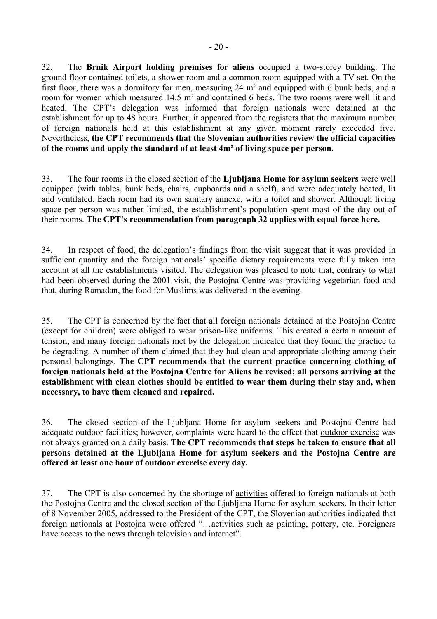32. The **Brnik Airport holding premises for aliens** occupied a two-storey building. The ground floor contained toilets, a shower room and a common room equipped with a TV set. On the first floor, there was a dormitory for men, measuring 24 m² and equipped with 6 bunk beds, and a room for women which measured 14.5 m² and contained 6 beds. The two rooms were well lit and heated. The CPT's delegation was informed that foreign nationals were detained at the establishment for up to 48 hours. Further, it appeared from the registers that the maximum number of foreign nationals held at this establishment at any given moment rarely exceeded five. Nevertheless, **the CPT recommends that the Slovenian authorities review the official capacities of the rooms and apply the standard of at least 4m² of living space per person.** 

33. The four rooms in the closed section of the **Ljubljana Home for asylum seekers** were well equipped (with tables, bunk beds, chairs, cupboards and a shelf), and were adequately heated, lit and ventilated. Each room had its own sanitary annexe, with a toilet and shower. Although living space per person was rather limited, the establishment's population spent most of the day out of their rooms. The CPT's recommendation from paragraph 32 applies with equal force here.

34. In respect of food, the delegation's findings from the visit suggest that it was provided in sufficient quantity and the foreign nationals' specific dietary requirements were fully taken into account at all the establishments visited. The delegation was pleased to note that, contrary to what had been observed during the 2001 visit, the Postojna Centre was providing vegetarian food and that, during Ramadan, the food for Muslims was delivered in the evening.

35. The CPT is concerned by the fact that all foreign nationals detained at the Postojna Centre (except for children) were obliged to wear prison-like uniforms. This created a certain amount of tension, and many foreign nationals met by the delegation indicated that they found the practice to be degrading. A number of them claimed that they had clean and appropriate clothing among their personal belongings. **The CPT recommends that the current practice concerning clothing of foreign nationals held at the Postojna Centre for Aliens be revised; all persons arriving at the establishment with clean clothes should be entitled to wear them during their stay and, when necessary, to have them cleaned and repaired.**

36. The closed section of the Ljubljana Home for asylum seekers and Postojna Centre had adequate outdoor facilities; however, complaints were heard to the effect that outdoor exercise was not always granted on a daily basis. **The CPT recommends that steps be taken to ensure that all persons detained at the Ljubljana Home for asylum seekers and the Postojna Centre are offered at least one hour of outdoor exercise every day.** 

37. The CPT is also concerned by the shortage of activities offered to foreign nationals at both the Postojna Centre and the closed section of the Ljubljana Home for asylum seekers. In their letter of 8 November 2005, addressed to the President of the CPT, the Slovenian authorities indicated that foreign nationals at Postojna were offered "...activities such as painting, pottery, etc. Foreigners have access to the news through television and internet".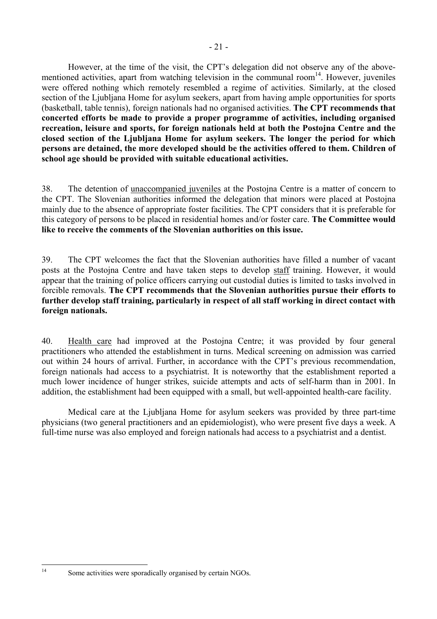However, at the time of the visit, the CPT's delegation did not observe any of the abovementioned activities, apart from watching television in the communal room<sup>14</sup>. However, juveniles were offered nothing which remotely resembled a regime of activities. Similarly, at the closed section of the Ljubljana Home for asylum seekers, apart from having ample opportunities for sports (basketball, table tennis), foreign nationals had no organised activities. **The CPT recommends that concerted efforts be made to provide a proper programme of activities, including organised recreation, leisure and sports, for foreign nationals held at both the Postojna Centre and the closed section of the Ljubljana Home for asylum seekers. The longer the period for which persons are detained, the more developed should be the activities offered to them. Children of school age should be provided with suitable educational activities.** 

38. The detention of unaccompanied juveniles at the Postojna Centre is a matter of concern to the CPT. The Slovenian authorities informed the delegation that minors were placed at Postojna mainly due to the absence of appropriate foster facilities. The CPT considers that it is preferable for this category of persons to be placed in residential homes and/or foster care. **The Committee would like to receive the comments of the Slovenian authorities on this issue.** 

39. The CPT welcomes the fact that the Slovenian authorities have filled a number of vacant posts at the Postojna Centre and have taken steps to develop staff training. However, it would appear that the training of police officers carrying out custodial duties is limited to tasks involved in forcible removals. **The CPT recommends that the Slovenian authorities pursue their efforts to further develop staff training, particularly in respect of all staff working in direct contact with foreign nationals.** 

40. Health care had improved at the Postojna Centre; it was provided by four general practitioners who attended the establishment in turns. Medical screening on admission was carried out within 24 hours of arrival. Further, in accordance with the CPT's previous recommendation, foreign nationals had access to a psychiatrist. It is noteworthy that the establishment reported a much lower incidence of hunger strikes, suicide attempts and acts of self-harm than in 2001. In addition, the establishment had been equipped with a small, but well-appointed health-care facility.

 Medical care at the Ljubljana Home for asylum seekers was provided by three part-time physicians (two general practitioners and an epidemiologist), who were present five days a week. A full-time nurse was also employed and foreign nationals had access to a psychiatrist and a dentist.

 $14$ 

<span id="page-20-0"></span>Some activities were sporadically organised by certain NGOs.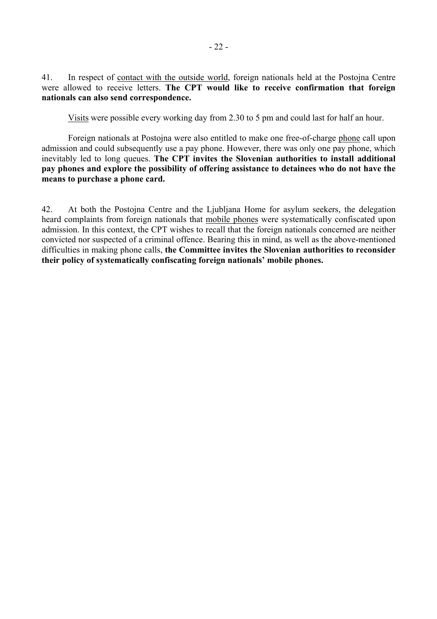41. In respect of contact with the outside world, foreign nationals held at the Postojna Centre were allowed to receive letters. **The CPT would like to receive confirmation that foreign nationals can also send correspondence.**

Visits were possible every working day from 2.30 to 5 pm and could last for half an hour.

Foreign nationals at Postojna were also entitled to make one free-of-charge phone call upon admission and could subsequently use a pay phone. However, there was only one pay phone, which inevitably led to long queues. **The CPT invites the Slovenian authorities to install additional pay phones and explore the possibility of offering assistance to detainees who do not have the means to purchase a phone card.** 

42. At both the Postojna Centre and the Ljubljana Home for asylum seekers, the delegation heard complaints from foreign nationals that mobile phones were systematically confiscated upon admission. In this context, the CPT wishes to recall that the foreign nationals concerned are neither convicted nor suspected of a criminal offence. Bearing this in mind, as well as the above-mentioned difficulties in making phone calls, **the Committee invites the Slovenian authorities to reconsider**  their policy of systematically confiscating foreign nationals' mobile phones.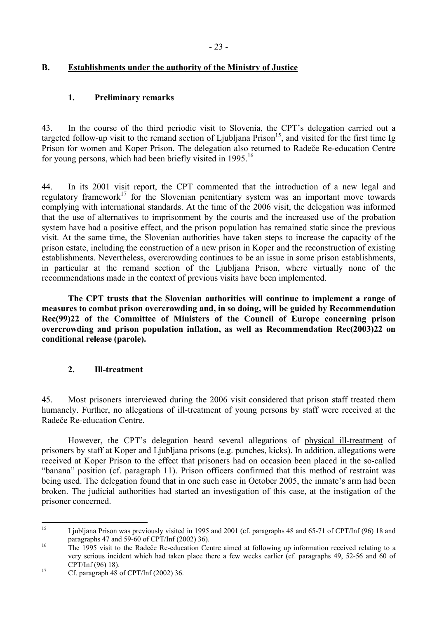### <span id="page-22-0"></span>**B. Establishments under the authority of the Ministry of Justice**

### **1. Preliminary remarks**

43. In the course of the third periodic visit to Slovenia, the CPT's delegation carried out a targeted follow-up visit to the remand section of Ljubljana  $Prison<sup>15</sup>$ , and visited for the first time Ig Prison for women and Koper Prison. The delegation also returned to Radeče Re-education Centre for young persons, which had been briefly visited in 1995.<sup>[16](#page-22-2)</sup>

44. In its 2001 visit report, the CPT commented that the introduction of a new legal and regulatory framework<sup>17</sup> for the Slovenian penitentiary system was an important move towards complying with international standards. At the time of the 2006 visit, the delegation was informed that the use of alternatives to imprisonment by the courts and the increased use of the probation system have had a positive effect, and the prison population has remained static since the previous visit. At the same time, the Slovenian authorities have taken steps to increase the capacity of the prison estate, including the construction of a new prison in Koper and the reconstruction of existing establishments. Nevertheless, overcrowding continues to be an issue in some prison establishments, in particular at the remand section of the Ljubljana Prison, where virtually none of the recommendations made in the context of previous visits have been implemented.

**The CPT trusts that the Slovenian authorities will continue to implement a range of measures to combat prison overcrowding and, in so doing, will be guided by Recommendation Rec(99)22 of the Committee of Ministers of the Council of Europe concerning prison overcrowding and prison population inflation, as well as Recommendation Rec(2003)22 on conditional release (parole).** 

### **2. Ill-treatment**

45. Most prisoners interviewed during the 2006 visit considered that prison staff treated them humanely. Further, no allegations of ill-treatment of young persons by staff were received at the Radeče Re-education Centre.

However, the CPT's delegation heard several allegations of physical ill-treatment of prisoners by staff at Koper and Ljubljana prisons (e.g. punches, kicks). In addition, allegations were received at Koper Prison to the effect that prisoners had on occasion been placed in the so-called ìbananaî position (cf. paragraph 11). Prison officers confirmed that this method of restraint was being used. The delegation found that in one such case in October 2005, the inmate's arm had been broken. The judicial authorities had started an investigation of this case, at the instigation of the prisoner concerned.

<span id="page-22-1"></span> $15$ 15 Ljubljana Prison was previously visited in 1995 and 2001 (cf. paragraphs 48 and 65-71 of CPT/Inf (96) 18 and paragraphs 47 and 59-60 of CPT/Inf (2002) 36).<br>
The 1995 visit to the Radeče Re-education Centre aimed at following up information received relating to a

<span id="page-22-2"></span>very serious incident which had taken place there a few weeks earlier (cf. paragraphs 49, 52-56 and 60 of CPT/Inf (96) 18). 17 Cf. paragraph 48 of CPT/Inf (2002) 36.

<span id="page-22-3"></span>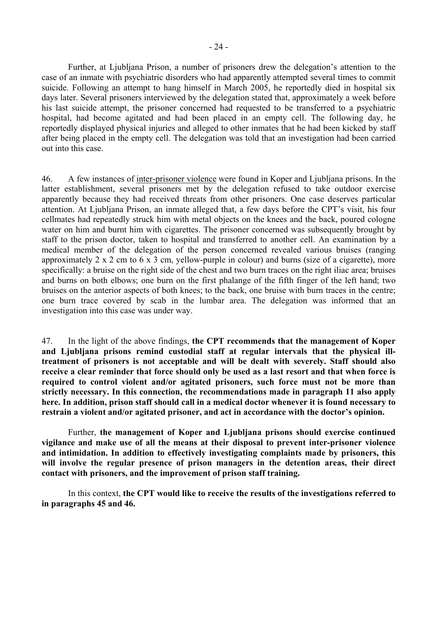Further, at Ljubljana Prison, a number of prisoners drew the delegation's attention to the case of an inmate with psychiatric disorders who had apparently attempted several times to commit suicide. Following an attempt to hang himself in March 2005, he reportedly died in hospital six days later. Several prisoners interviewed by the delegation stated that, approximately a week before his last suicide attempt, the prisoner concerned had requested to be transferred to a psychiatric hospital, had become agitated and had been placed in an empty cell. The following day, he reportedly displayed physical injuries and alleged to other inmates that he had been kicked by staff after being placed in the empty cell. The delegation was told that an investigation had been carried out into this case.

46. A few instances of inter-prisoner violence were found in Koper and Ljubljana prisons. In the latter establishment, several prisoners met by the delegation refused to take outdoor exercise apparently because they had received threats from other prisoners. One case deserves particular attention. At Ljubljana Prison, an inmate alleged that, a few days before the CPT's visit, his four cellmates had repeatedly struck him with metal objects on the knees and the back, poured cologne water on him and burnt him with cigarettes. The prisoner concerned was subsequently brought by staff to the prison doctor, taken to hospital and transferred to another cell. An examination by a medical member of the delegation of the person concerned revealed various bruises (ranging approximately 2 x 2 cm to 6 x 3 cm, yellow-purple in colour) and burns (size of a cigarette), more specifically: a bruise on the right side of the chest and two burn traces on the right iliac area; bruises and burns on both elbows; one burn on the first phalange of the fifth finger of the left hand; two bruises on the anterior aspects of both knees; to the back, one bruise with burn traces in the centre; one burn trace covered by scab in the lumbar area. The delegation was informed that an investigation into this case was under way.

47. In the light of the above findings, **the CPT recommends that the management of Koper and Ljubljana prisons remind custodial staff at regular intervals that the physical illtreatment of prisoners is not acceptable and will be dealt with severely. Staff should also receive a clear reminder that force should only be used as a last resort and that when force is required to control violent and/or agitated prisoners, such force must not be more than strictly necessary. In this connection, the recommendations made in paragraph 11 also apply here. In addition, prison staff should call in a medical doctor whenever it is found necessary to**  restrain a violent and/or agitated prisoner, and act in accordance with the doctor's opinion.

 Further, **the management of Koper and Ljubljana prisons should exercise continued vigilance and make use of all the means at their disposal to prevent inter-prisoner violence and intimidation. In addition to effectively investigating complaints made by prisoners, this will involve the regular presence of prison managers in the detention areas, their direct contact with prisoners, and the improvement of prison staff training.**

In this context, **the CPT would like to receive the results of the investigations referred to in paragraphs 45 and 46.**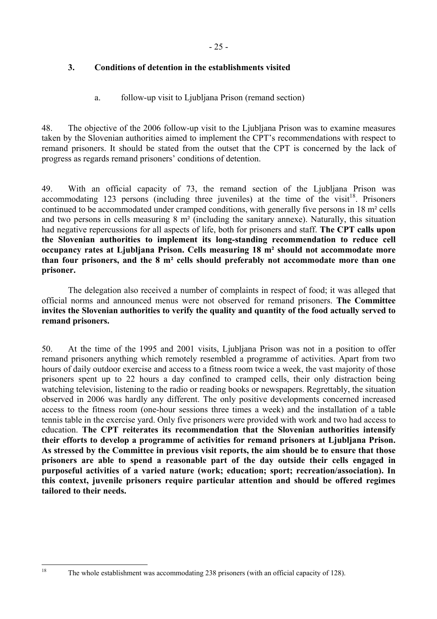## <span id="page-24-0"></span>**3. Conditions of detention in the establishments visited**

## a. follow-up visit to Ljubljana Prison (remand section)

48. The objective of the 2006 follow-up visit to the Ljubljana Prison was to examine measures taken by the Slovenian authorities aimed to implement the CPT's recommendations with respect to remand prisoners. It should be stated from the outset that the CPT is concerned by the lack of progress as regards remand prisoners' conditions of detention.

49. With an official capacity of 73, the remand section of the Ljubljana Prison was accommodating 123 persons (including three juveniles) at the time of the visit<sup>18</sup>. Prisoners continued to be accommodated under cramped conditions, with generally five persons in 18 m² cells and two persons in cells measuring 8 m² (including the sanitary annexe). Naturally, this situation had negative repercussions for all aspects of life, both for prisoners and staff. **The CPT calls upon the Slovenian authorities to implement its long-standing recommendation to reduce cell occupancy rates at Ljubljana Prison. Cells measuring 18 m² should not accommodate more than four prisoners, and the 8 m² cells should preferably not accommodate more than one prisoner.** 

The delegation also received a number of complaints in respect of food; it was alleged that official norms and announced menus were not observed for remand prisoners. **The Committee invites the Slovenian authorities to verify the quality and quantity of the food actually served to remand prisoners.** 

50. At the time of the 1995 and 2001 visits, Ljubljana Prison was not in a position to offer remand prisoners anything which remotely resembled a programme of activities. Apart from two hours of daily outdoor exercise and access to a fitness room twice a week, the vast majority of those prisoners spent up to 22 hours a day confined to cramped cells, their only distraction being watching television, listening to the radio or reading books or newspapers. Regrettably, the situation observed in 2006 was hardly any different. The only positive developments concerned increased access to the fitness room (one-hour sessions three times a week) and the installation of a table tennis table in the exercise yard. Only five prisoners were provided with work and two had access to education. **The CPT reiterates its recommendation that the Slovenian authorities intensify their efforts to develop a programme of activities for remand prisoners at Ljubljana Prison. As stressed by the Committee in previous visit reports, the aim should be to ensure that those prisoners are able to spend a reasonable part of the day outside their cells engaged in purposeful activities of a varied nature (work; education; sport; recreation/association). In this context, juvenile prisoners require particular attention and should be offered regimes tailored to their needs.** 

<span id="page-24-1"></span><sup>18</sup> The whole establishment was accommodating 238 prisoners (with an official capacity of 128).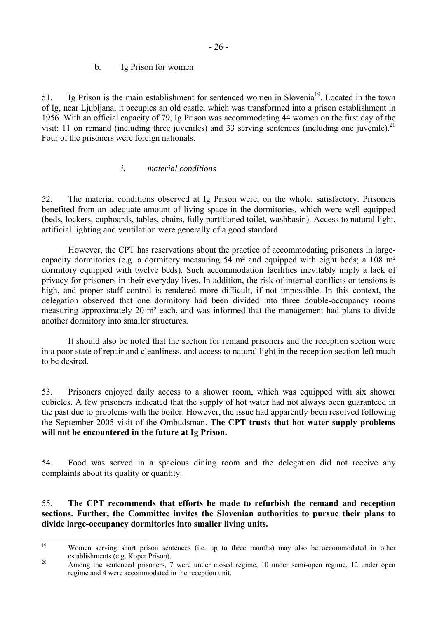### b. Ig Prison for women

<span id="page-25-0"></span>51. Ig Prison is the main establishment for sentenced women in Slovenia<sup>19</sup>. Located in the town of Ig, near Ljubljana, it occupies an old castle, which was transformed into a prison establishment in 1956. With an official capacity of 79, Ig Prison was accommodating 44 women on the first day of the visit: 11 on remand (including three juveniles) and 33 serving sentences (including one juvenile).<sup>[20](#page-25-2)</sup> Four of the prisoners were foreign nationals.

### *i. material conditions*

52. The material conditions observed at Ig Prison were, on the whole, satisfactory. Prisoners benefited from an adequate amount of living space in the dormitories, which were well equipped (beds, lockers, cupboards, tables, chairs, fully partitioned toilet, washbasin). Access to natural light, artificial lighting and ventilation were generally of a good standard.

However, the CPT has reservations about the practice of accommodating prisoners in largecapacity dormitories (e.g. a dormitory measuring 54 m² and equipped with eight beds; a 108 m² dormitory equipped with twelve beds). Such accommodation facilities inevitably imply a lack of privacy for prisoners in their everyday lives. In addition, the risk of internal conflicts or tensions is high, and proper staff control is rendered more difficult, if not impossible. In this context, the delegation observed that one dormitory had been divided into three double-occupancy rooms measuring approximately 20 m² each, and was informed that the management had plans to divide another dormitory into smaller structures.

It should also be noted that the section for remand prisoners and the reception section were in a poor state of repair and cleanliness, and access to natural light in the reception section left much to be desired.

53. Prisoners enjoyed daily access to a shower room, which was equipped with six shower cubicles. A few prisoners indicated that the supply of hot water had not always been guaranteed in the past due to problems with the boiler. However, the issue had apparently been resolved following the September 2005 visit of the Ombudsman. **The CPT trusts that hot water supply problems will not be encountered in the future at Ig Prison.** 

54. Food was served in a spacious dining room and the delegation did not receive any complaints about its quality or quantity.

### 55. **The CPT recommends that efforts be made to refurbish the remand and reception sections. Further, the Committee invites the Slovenian authorities to pursue their plans to divide large-occupancy dormitories into smaller living units.**

<span id="page-25-1"></span> $19$ Women serving short prison sentences (i.e. up to three months) may also be accommodated in other

<span id="page-25-2"></span>establishments (e.g. Koper Prison).<br><sup>20</sup> Among the sentenced prisoners, 7 were under closed regime, 10 under semi-open regime, 12 under open regime and 4 were accommodated in the reception unit.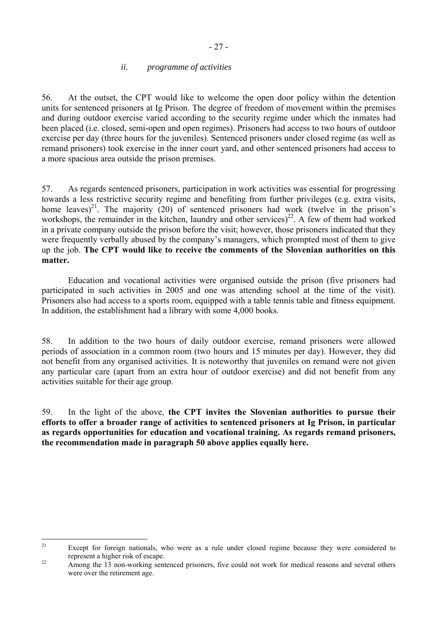### *ii. programme of activities*

<span id="page-26-0"></span>56. At the outset, the CPT would like to welcome the open door policy within the detention units for sentenced prisoners at Ig Prison. The degree of freedom of movement within the premises and during outdoor exercise varied according to the security regime under which the inmates had been placed (i.e. closed, semi-open and open regimes). Prisoners had access to two hours of outdoor exercise per day (three hours for the juveniles). Sentenced prisoners under closed regime (as well as remand prisoners) took exercise in the inner court yard, and other sentenced prisoners had access to a more spacious area outside the prison premises.

57. As regards sentenced prisoners, participation in work activities was essential for progressing towards a less restrictive security regime and benefiting from further privileges (e.g. extra visits, home leaves)<sup>21</sup>. The majority (20) of sentenced prisoners had work (twelve in the prison's workshops, the remainder in the kitchen, laundry and other services)<sup>22</sup>. A few of them had worked in a private company outside the prison before the visit; however, those prisoners indicated that they were frequently verbally abused by the company's managers, which prompted most of them to give up the job. **The CPT would like to receive the comments of the Slovenian authorities on this matter.**

Education and vocational activities were organised outside the prison (five prisoners had participated in such activities in 2005 and one was attending school at the time of the visit). Prisoners also had access to a sports room, equipped with a table tennis table and fitness equipment. In addition, the establishment had a library with some 4,000 books.

58. In addition to the two hours of daily outdoor exercise, remand prisoners were allowed periods of association in a common room (two hours and 15 minutes per day). However, they did not benefit from any organised activities. It is noteworthy that juveniles on remand were not given any particular care (apart from an extra hour of outdoor exercise) and did not benefit from any activities suitable for their age group.

59. In the light of the above, **the CPT invites the Slovenian authorities to pursue their efforts to offer a broader range of activities to sentenced prisoners at Ig Prison, in particular as regards opportunities for education and vocational training. As regards remand prisoners, the recommendation made in paragraph 50 above applies equally here.**

<span id="page-26-1"></span> $21$ Except for foreign nationals, who were as a rule under closed regime because they were considered to

<span id="page-26-2"></span>represent a higher risk of escape.<br>Among the 13 non-working sentenced prisoners, five could not work for medical reasons and several others were over the retirement age.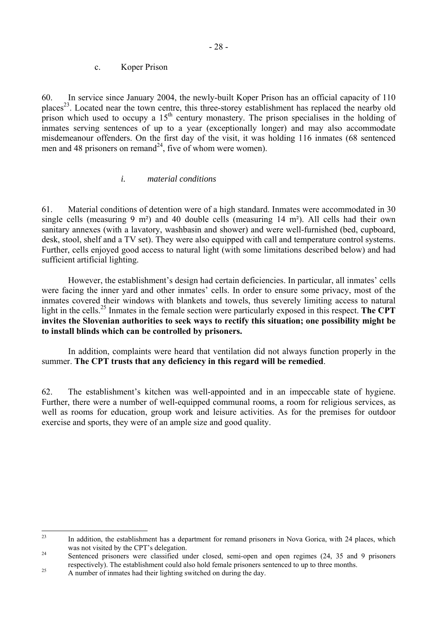<span id="page-27-0"></span>60. In service since January 2004, the newly-built Koper Prison has an official capacity of 110 places<sup>23</sup>. Located near the town centre, this three-storey establishment has replaced the nearby old prison which used to occupy a  $15<sup>th</sup>$  century monastery. The prison specialises in the holding of inmates serving sentences of up to a year (exceptionally longer) and may also accommodate misdemeanour offenders. On the first day of the visit, it was holding 116 inmates (68 sentenced men and 48 prisoners on remand<sup>24</sup>, five of whom were women).

## *i. material conditions*

61. Material conditions of detention were of a high standard. Inmates were accommodated in 30 single cells (measuring 9 m<sup>2</sup>) and 40 double cells (measuring 14 m<sup>2</sup>). All cells had their own sanitary annexes (with a lavatory, washbasin and shower) and were well-furnished (bed, cupboard, desk, stool, shelf and a TV set). They were also equipped with call and temperature control systems. Further, cells enjoyed good access to natural light (with some limitations described below) and had sufficient artificial lighting.

However, the establishment's design had certain deficiencies. In particular, all inmates' cells were facing the inner yard and other inmates' cells. In order to ensure some privacy, most of the inmates covered their windows with blankets and towels, thus severely limiting access to natural light in the cells.<sup>25</sup> Inmates in the female section were particularly exposed in this respect. The CPT **invites the Slovenian authorities to seek ways to rectify this situation; one possibility might be to install blinds which can be controlled by prisoners.** 

In addition, complaints were heard that ventilation did not always function properly in the summer. **The CPT trusts that any deficiency in this regard will be remedied**.

62. The establishment's kitchen was well-appointed and in an impeccable state of hygiene. Further, there were a number of well-equipped communal rooms, a room for religious services, as well as rooms for education, group work and leisure activities. As for the premises for outdoor exercise and sports, they were of an ample size and good quality.

<span id="page-27-1"></span> $23$ In addition, the establishment has a department for remand prisoners in Nova Gorica, with 24 places, which was not visited by the CPT's delegation.<br>
<sup>24</sup> Sentenced prisoners were classified under closed, semi-open and open regimes (24, 35 and 9 prisoners

<span id="page-27-2"></span>respectively). The establishment could also hold female prisoners sentenced to up to three months.<br>A number of inmates had their lighting switched on during the day.

<span id="page-27-3"></span>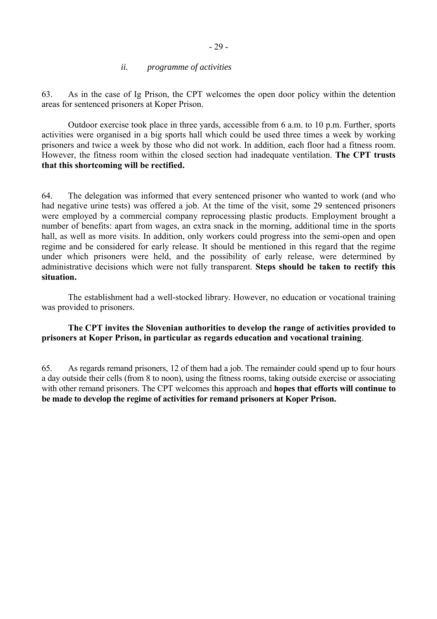### *ii. programme of activities*

<span id="page-28-0"></span>63. As in the case of Ig Prison, the CPT welcomes the open door policy within the detention areas for sentenced prisoners at Koper Prison.

 Outdoor exercise took place in three yards, accessible from 6 a.m. to 10 p.m. Further, sports activities were organised in a big sports hall which could be used three times a week by working prisoners and twice a week by those who did not work. In addition, each floor had a fitness room. However, the fitness room within the closed section had inadequate ventilation. **The CPT trusts that this shortcoming will be rectified.** 

64. The delegation was informed that every sentenced prisoner who wanted to work (and who had negative urine tests) was offered a job. At the time of the visit, some 29 sentenced prisoners were employed by a commercial company reprocessing plastic products. Employment brought a number of benefits: apart from wages, an extra snack in the morning, additional time in the sports hall, as well as more visits. In addition, only workers could progress into the semi-open and open regime and be considered for early release. It should be mentioned in this regard that the regime under which prisoners were held, and the possibility of early release, were determined by administrative decisions which were not fully transparent. **Steps should be taken to rectify this situation.** 

 The establishment had a well-stocked library. However, no education or vocational training was provided to prisoners.

### **The CPT invites the Slovenian authorities to develop the range of activities provided to prisoners at Koper Prison, in particular as regards education and vocational training**.

65. As regards remand prisoners, 12 of them had a job. The remainder could spend up to four hours a day outside their cells (from 8 to noon), using the fitness rooms, taking outside exercise or associating with other remand prisoners. The CPT welcomes this approach and **hopes that efforts will continue to be made to develop the regime of activities for remand prisoners at Koper Prison.**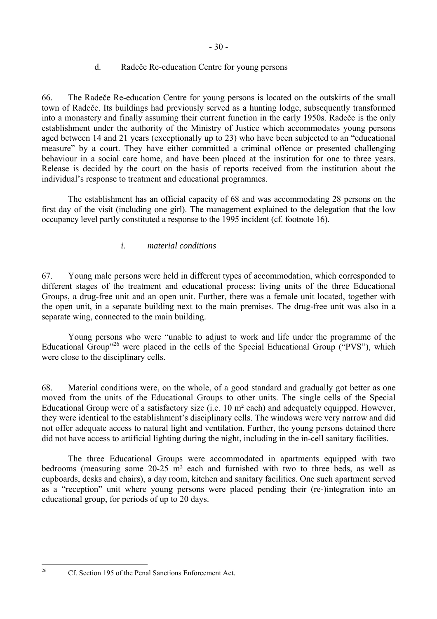### d. Radeče Re-education Centre for young persons

<span id="page-29-0"></span>66. The Radeče Re-education Centre for young persons is located on the outskirts of the small town of Radeče. Its buildings had previously served as a hunting lodge, subsequently transformed into a monastery and finally assuming their current function in the early 1950s. Radeče is the only establishment under the authority of the Ministry of Justice which accommodates young persons aged between 14 and 21 years (exceptionally up to 23) who have been subjected to an "educational measure" by a court. They have either committed a criminal offence or presented challenging behaviour in a social care home, and have been placed at the institution for one to three years. Release is decided by the court on the basis of reports received from the institution about the individual's response to treatment and educational programmes.

 The establishment has an official capacity of 68 and was accommodating 28 persons on the first day of the visit (including one girl). The management explained to the delegation that the low occupancy level partly constituted a response to the 1995 incident (cf. footnote 16).

## *i. material conditions*

67. Young male persons were held in different types of accommodation, which corresponded to different stages of the treatment and educational process: living units of the three Educational Groups, a drug-free unit and an open unit. Further, there was a female unit located, together with the open unit, in a separate building next to the main premises. The drug-free unit was also in a separate wing, connected to the main building.

Young persons who were "unable to adjust to work and life under the programme of the Educational Group<sup> $26$ </sup> were placed in the cells of the Special Educational Group ( $\rm PVS$ <sup>\*</sup>), which were close to the disciplinary cells.

68. Material conditions were, on the whole, of a good standard and gradually got better as one moved from the units of the Educational Groups to other units. The single cells of the Special Educational Group were of a satisfactory size (i.e. 10 m² each) and adequately equipped. However, they were identical to the establishment's disciplinary cells. The windows were very narrow and did not offer adequate access to natural light and ventilation. Further, the young persons detained there did not have access to artificial lighting during the night, including in the in-cell sanitary facilities.

The three Educational Groups were accommodated in apartments equipped with two bedrooms (measuring some 20-25 m² each and furnished with two to three beds, as well as cupboards, desks and chairs), a day room, kitchen and sanitary facilities. One such apartment served as a "reception" unit where young persons were placed pending their (re-)integration into an educational group, for periods of up to 20 days.

<span id="page-29-1"></span> $26$ 

Cf. Section 195 of the Penal Sanctions Enforcement Act.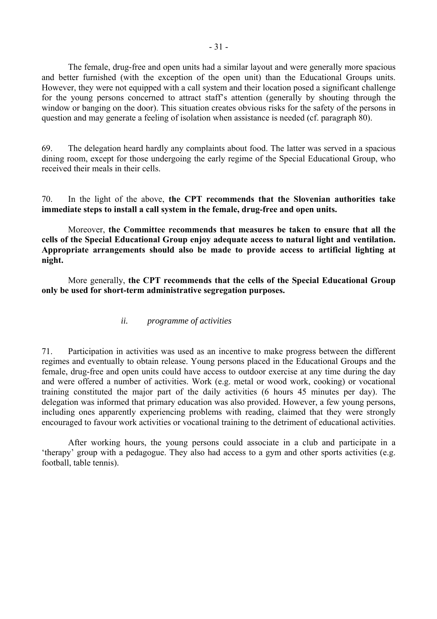<span id="page-30-0"></span> The female, drug-free and open units had a similar layout and were generally more spacious and better furnished (with the exception of the open unit) than the Educational Groups units. However, they were not equipped with a call system and their location posed a significant challenge for the young persons concerned to attract staff's attention (generally by shouting through the window or banging on the door). This situation creates obvious risks for the safety of the persons in question and may generate a feeling of isolation when assistance is needed (cf. paragraph 80).

69. The delegation heard hardly any complaints about food. The latter was served in a spacious dining room, except for those undergoing the early regime of the Special Educational Group, who received their meals in their cells.

70. In the light of the above, **the CPT recommends that the Slovenian authorities take immediate steps to install a call system in the female, drug-free and open units.** 

 Moreover, **the Committee recommends that measures be taken to ensure that all the cells of the Special Educational Group enjoy adequate access to natural light and ventilation. Appropriate arrangements should also be made to provide access to artificial lighting at night.** 

 More generally, **the CPT recommends that the cells of the Special Educational Group only be used for short-term administrative segregation purposes.** 

### *ii. programme of activities*

71. Participation in activities was used as an incentive to make progress between the different regimes and eventually to obtain release. Young persons placed in the Educational Groups and the female, drug-free and open units could have access to outdoor exercise at any time during the day and were offered a number of activities. Work (e.g. metal or wood work, cooking) or vocational training constituted the major part of the daily activities (6 hours 45 minutes per day). The delegation was informed that primary education was also provided. However, a few young persons, including ones apparently experiencing problems with reading, claimed that they were strongly encouraged to favour work activities or vocational training to the detriment of educational activities.

After working hours, the young persons could associate in a club and participate in a therapy' group with a pedagogue. They also had access to a gym and other sports activities (e.g. football, table tennis).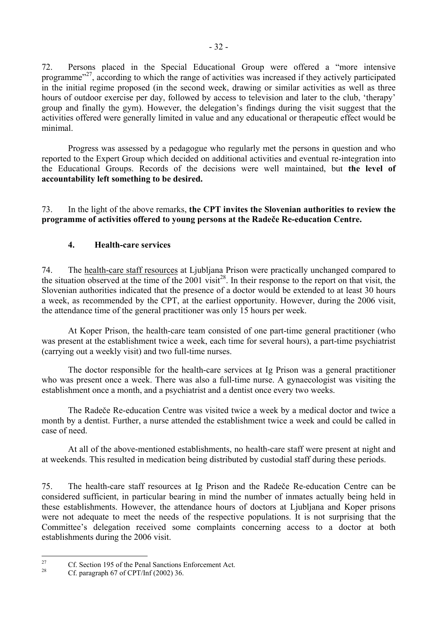<span id="page-31-0"></span>72. Persons placed in the Special Educational Group were offered a "more intensive programme<sup> $27$ </sup>, according to which the range of activities was increased if they actively participated in the initial regime proposed (in the second week, drawing or similar activities as well as three hours of outdoor exercise per day, followed by access to television and later to the club, 'therapy' group and finally the gym). However, the delegation's findings during the visit suggest that the activities offered were generally limited in value and any educational or therapeutic effect would be minimal.

Progress was assessed by a pedagogue who regularly met the persons in question and who reported to the Expert Group which decided on additional activities and eventual re-integration into the Educational Groups. Records of the decisions were well maintained, but **the level of accountability left something to be desired.** 

73. In the light of the above remarks, **the CPT invites the Slovenian authorities to review the programme of activities offered to young persons at the Radeče Re-education Centre.** 

### **4. Health-care services**

74. The health-care staff resources at Ljubljana Prison were practically unchanged compared to the situation observed at the time of the 2001 visit<sup>28</sup>. In their response to the report on that visit, the Slovenian authorities indicated that the presence of a doctor would be extended to at least 30 hours a week, as recommended by the CPT, at the earliest opportunity. However, during the 2006 visit, the attendance time of the general practitioner was only 15 hours per week.

 At Koper Prison, the health-care team consisted of one part-time general practitioner (who was present at the establishment twice a week, each time for several hours), a part-time psychiatrist (carrying out a weekly visit) and two full-time nurses.

The doctor responsible for the health-care services at Ig Prison was a general practitioner who was present once a week. There was also a full-time nurse. A gynaecologist was visiting the establishment once a month, and a psychiatrist and a dentist once every two weeks.

The Radeče Re-education Centre was visited twice a week by a medical doctor and twice a month by a dentist. Further, a nurse attended the establishment twice a week and could be called in case of need.

At all of the above-mentioned establishments, no health-care staff were present at night and at weekends. This resulted in medication being distributed by custodial staff during these periods.

75. The health-care staff resources at Ig Prison and the Radeče Re-education Centre can be considered sufficient, in particular bearing in mind the number of inmates actually being held in these establishments. However, the attendance hours of doctors at Ljubljana and Koper prisons were not adequate to meet the needs of the respective populations. It is not surprising that the Committee's delegation received some complaints concerning access to a doctor at both establishments during the 2006 visit.

<span id="page-31-1"></span> $27$ <sup>27</sup> Cf. Section 195 of the Penal Sanctions Enforcement Act.

<span id="page-31-2"></span>Cf. paragraph 67 of CPT/Inf  $(2002)$  36.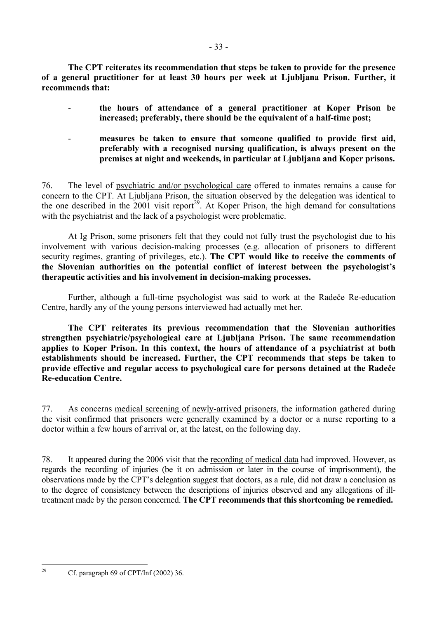**The CPT reiterates its recommendation that steps be taken to provide for the presence of a general practitioner for at least 30 hours per week at Ljubljana Prison. Further, it recommends that:** 

- **the hours of attendance of a general practitioner at Koper Prison be increased; preferably, there should be the equivalent of a half-time post;**
- measures be taken to ensure that someone qualified to provide first aid, **preferably with a recognised nursing qualification, is always present on the premises at night and weekends, in particular at Ljubljana and Koper prisons.**

76. The level of psychiatric and/or psychological care offered to inmates remains a cause for concern to the CPT. At Ljubljana Prison, the situation observed by the delegation was identical to the one described in the  $2001$  visit report<sup>29</sup>. At Koper Prison, the high demand for consultations with the psychiatrist and the lack of a psychologist were problematic.

At Ig Prison, some prisoners felt that they could not fully trust the psychologist due to his involvement with various decision-making processes (e.g. allocation of prisoners to different security regimes, granting of privileges, etc.). **The CPT would like to receive the comments of**  the Slovenian authorities on the potential conflict of interest between the psychologist's **therapeutic activities and his involvement in decision-making processes.**

Further, although a full-time psychologist was said to work at the Radeče Re-education Centre, hardly any of the young persons interviewed had actually met her.

**The CPT reiterates its previous recommendation that the Slovenian authorities strengthen psychiatric/psychological care at Ljubljana Prison. The same recommendation applies to Koper Prison. In this context, the hours of attendance of a psychiatrist at both establishments should be increased. Further, the CPT recommends that steps be taken to provide effective and regular access to psychological care for persons detained at the Radeče Re-education Centre.** 

77. As concerns medical screening of newly-arrived prisoners, the information gathered during the visit confirmed that prisoners were generally examined by a doctor or a nurse reporting to a doctor within a few hours of arrival or, at the latest, on the following day.

78. It appeared during the 2006 visit that the recording of medical data had improved. However, as regards the recording of injuries (be it on admission or later in the course of imprisonment), the observations made by the CPT's delegation suggest that doctors, as a rule, did not draw a conclusion as to the degree of consistency between the descriptions of injuries observed and any allegations of illtreatment made by the person concerned. **The CPT recommends that this shortcoming be remedied.**

<span id="page-32-0"></span> $29$ 

Cf. paragraph 69 of CPT/Inf  $(2002)$  36.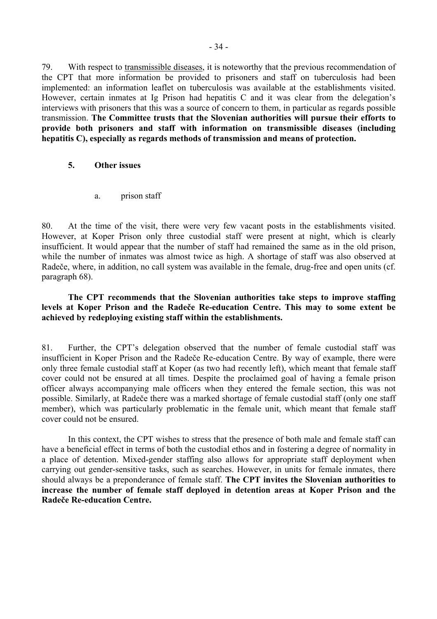<span id="page-33-0"></span>79. With respect to transmissible diseases, it is noteworthy that the previous recommendation of the CPT that more information be provided to prisoners and staff on tuberculosis had been implemented: an information leaflet on tuberculosis was available at the establishments visited. However, certain inmates at Ig Prison had hepatitis C and it was clear from the delegation's interviews with prisoners that this was a source of concern to them, in particular as regards possible transmission. **The Committee trusts that the Slovenian authorities will pursue their efforts to provide both prisoners and staff with information on transmissible diseases (including hepatitis C), especially as regards methods of transmission and means of protection.** 

### **5. Other issues**

a. prison staff

80. At the time of the visit, there were very few vacant posts in the establishments visited. However, at Koper Prison only three custodial staff were present at night, which is clearly insufficient. It would appear that the number of staff had remained the same as in the old prison, while the number of inmates was almost twice as high. A shortage of staff was also observed at Radeče, where, in addition, no call system was available in the female, drug-free and open units (cf. paragraph 68).

**The CPT recommends that the Slovenian authorities take steps to improve staffing levels at Koper Prison and the Radeče Re-education Centre. This may to some extent be achieved by redeploying existing staff within the establishments.** 

81. Further, the CPT's delegation observed that the number of female custodial staff was insufficient in Koper Prison and the Radeče Re-education Centre. By way of example, there were only three female custodial staff at Koper (as two had recently left), which meant that female staff cover could not be ensured at all times. Despite the proclaimed goal of having a female prison officer always accompanying male officers when they entered the female section, this was not possible. Similarly, at Radeče there was a marked shortage of female custodial staff (only one staff member), which was particularly problematic in the female unit, which meant that female staff cover could not be ensured.

 In this context, the CPT wishes to stress that the presence of both male and female staff can have a beneficial effect in terms of both the custodial ethos and in fostering a degree of normality in a place of detention. Mixed-gender staffing also allows for appropriate staff deployment when carrying out gender-sensitive tasks, such as searches. However, in units for female inmates, there should always be a preponderance of female staff. **The CPT invites the Slovenian authorities to increase the number of female staff deployed in detention areas at Koper Prison and the Radeče Re-education Centre.**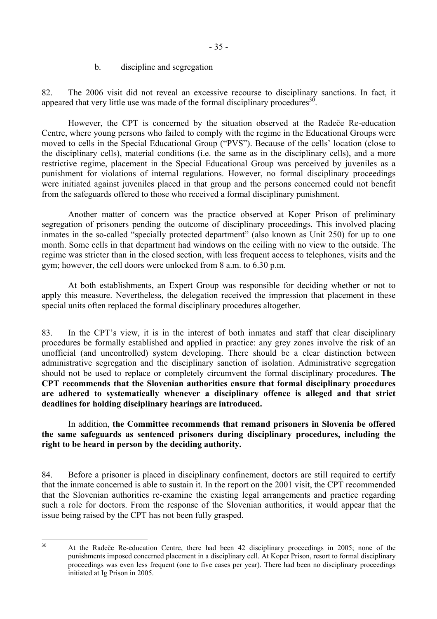#### b. discipline and segregation

<span id="page-34-0"></span>82. The 2006 visit did not reveal an excessive recourse to disciplinary sanctions. In fact, it appeared that very little use was made of the formal disciplinary procedures  $30$ .

However, the CPT is concerned by the situation observed at the Radeče Re-education Centre, where young persons who failed to comply with the regime in the Educational Groups were moved to cells in the Special Educational Group ("PVS"). Because of the cells' location (close to the disciplinary cells), material conditions (i.e. the same as in the disciplinary cells), and a more restrictive regime, placement in the Special Educational Group was perceived by juveniles as a punishment for violations of internal regulations. However, no formal disciplinary proceedings were initiated against juveniles placed in that group and the persons concerned could not benefit from the safeguards offered to those who received a formal disciplinary punishment.

 Another matter of concern was the practice observed at Koper Prison of preliminary segregation of prisoners pending the outcome of disciplinary proceedings. This involved placing inmates in the so-called "specially protected department" (also known as Unit 250) for up to one month. Some cells in that department had windows on the ceiling with no view to the outside. The regime was stricter than in the closed section, with less frequent access to telephones, visits and the gym; however, the cell doors were unlocked from 8 a.m. to 6.30 p.m.

At both establishments, an Expert Group was responsible for deciding whether or not to apply this measure. Nevertheless, the delegation received the impression that placement in these special units often replaced the formal disciplinary procedures altogether.

83. In the CPT's view, it is in the interest of both inmates and staff that clear disciplinary procedures be formally established and applied in practice: any grey zones involve the risk of an unofficial (and uncontrolled) system developing. There should be a clear distinction between administrative segregation and the disciplinary sanction of isolation. Administrative segregation should not be used to replace or completely circumvent the formal disciplinary procedures. **The CPT recommends that the Slovenian authorities ensure that formal disciplinary procedures are adhered to systematically whenever a disciplinary offence is alleged and that strict deadlines for holding disciplinary hearings are introduced.** 

In addition, **the Committee recommends that remand prisoners in Slovenia be offered the same safeguards as sentenced prisoners during disciplinary procedures, including the right to be heard in person by the deciding authority.**

84. Before a prisoner is placed in disciplinary confinement, doctors are still required to certify that the inmate concerned is able to sustain it. In the report on the 2001 visit, the CPT recommended that the Slovenian authorities re-examine the existing legal arrangements and practice regarding such a role for doctors. From the response of the Slovenian authorities, it would appear that the issue being raised by the CPT has not been fully grasped.

<span id="page-34-1"></span> $30<sup>2</sup>$ 

<sup>30</sup> At the Radeče Re-education Centre, there had been 42 disciplinary proceedings in 2005; none of the punishments imposed concerned placement in a disciplinary cell. At Koper Prison, resort to formal disciplinary proceedings was even less frequent (one to five cases per year). There had been no disciplinary proceedings initiated at Ig Prison in 2005.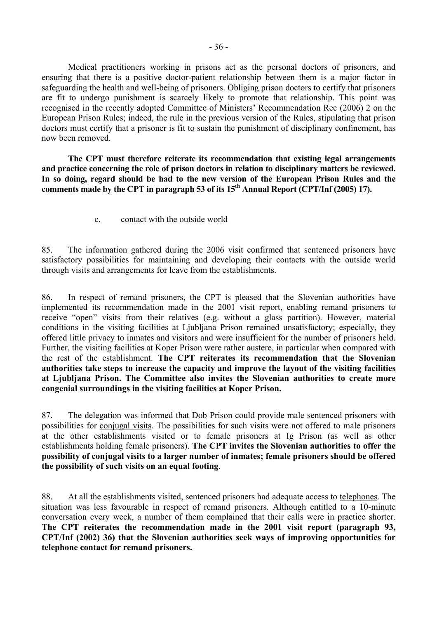<span id="page-35-0"></span> Medical practitioners working in prisons act as the personal doctors of prisoners, and ensuring that there is a positive doctor-patient relationship between them is a major factor in safeguarding the health and well-being of prisoners. Obliging prison doctors to certify that prisoners are fit to undergo punishment is scarcely likely to promote that relationship. This point was recognised in the recently adopted Committee of Ministers' Recommendation Rec (2006) 2 on the European Prison Rules; indeed, the rule in the previous version of the Rules, stipulating that prison doctors must certify that a prisoner is fit to sustain the punishment of disciplinary confinement, has now been removed.

**The CPT must therefore reiterate its recommendation that existing legal arrangements and practice concerning the role of prison doctors in relation to disciplinary matters be reviewed. In so doing, regard should be had to the new version of the European Prison Rules and the**  comments made by the CPT in paragraph 53 of its 15<sup>th</sup> Annual Report (CPT/Inf (2005) 17).

c. contact with the outside world

85. The information gathered during the 2006 visit confirmed that sentenced prisoners have satisfactory possibilities for maintaining and developing their contacts with the outside world through visits and arrangements for leave from the establishments.

86. In respect of remand prisoners, the CPT is pleased that the Slovenian authorities have implemented its recommendation made in the 2001 visit report, enabling remand prisoners to receive "open" visits from their relatives (e.g. without a glass partition). However, material conditions in the visiting facilities at Ljubljana Prison remained unsatisfactory; especially, they offered little privacy to inmates and visitors and were insufficient for the number of prisoners held. Further, the visiting facilities at Koper Prison were rather austere, in particular when compared with the rest of the establishment. **The CPT reiterates its recommendation that the Slovenian authorities take steps to increase the capacity and improve the layout of the visiting facilities at Ljubljana Prison. The Committee also invites the Slovenian authorities to create more congenial surroundings in the visiting facilities at Koper Prison.** 

87. The delegation was informed that Dob Prison could provide male sentenced prisoners with possibilities for conjugal visits. The possibilities for such visits were not offered to male prisoners at the other establishments visited or to female prisoners at Ig Prison (as well as other establishments holding female prisoners). **The CPT invites the Slovenian authorities to offer the possibility of conjugal visits to a larger number of inmates; female prisoners should be offered the possibility of such visits on an equal footing**.

88. At all the establishments visited, sentenced prisoners had adequate access to telephones. The situation was less favourable in respect of remand prisoners. Although entitled to a 10-minute conversation every week, a number of them complained that their calls were in practice shorter. **The CPT reiterates the recommendation made in the 2001 visit report (paragraph 93, CPT/Inf (2002) 36) that the Slovenian authorities seek ways of improving opportunities for telephone contact for remand prisoners.**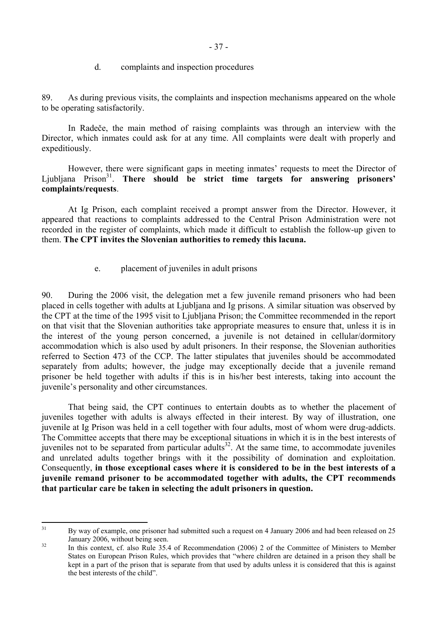d. complaints and inspection procedures

<span id="page-36-0"></span>89. As during previous visits, the complaints and inspection mechanisms appeared on the whole to be operating satisfactorily.

In Radeče, the main method of raising complaints was through an interview with the Director, which inmates could ask for at any time. All complaints were dealt with properly and expeditiously.

However, there were significant gaps in meeting inmates' requests to meet the Director of Ljubljana Prison<sup>31</sup>. **There should be strict time targets for answering prisoners' complaints/requests**.

At Ig Prison, each complaint received a prompt answer from the Director. However, it appeared that reactions to complaints addressed to the Central Prison Administration were not recorded in the register of complaints, which made it difficult to establish the follow-up given to them. **The CPT invites the Slovenian authorities to remedy this lacuna.** 

e. placement of juveniles in adult prisons

90. During the 2006 visit, the delegation met a few juvenile remand prisoners who had been placed in cells together with adults at Ljubljana and Ig prisons. A similar situation was observed by the CPT at the time of the 1995 visit to Ljubljana Prison; the Committee recommended in the report on that visit that the Slovenian authorities take appropriate measures to ensure that, unless it is in the interest of the young person concerned, a juvenile is not detained in cellular/dormitory accommodation which is also used by adult prisoners. In their response, the Slovenian authorities referred to Section 473 of the CCP. The latter stipulates that juveniles should be accommodated separately from adults; however, the judge may exceptionally decide that a juvenile remand prisoner be held together with adults if this is in his/her best interests, taking into account the juvenile's personality and other circumstances.

That being said, the CPT continues to entertain doubts as to whether the placement of juveniles together with adults is always effected in their interest. By way of illustration, one juvenile at Ig Prison was held in a cell together with four adults, most of whom were drug-addicts. The Committee accepts that there may be exceptional situations in which it is in the best interests of juveniles not to be separated from particular adults<sup>32</sup>. At the same time, to accommodate juveniles and unrelated adults together brings with it the possibility of domination and exploitation. Consequently, **in those exceptional cases where it is considered to be in the best interests of a juvenile remand prisoner to be accommodated together with adults, the CPT recommends that particular care be taken in selecting the adult prisoners in question.** 

<span id="page-36-1"></span> $31$ By way of example, one prisoner had submitted such a request on 4 January 2006 and had been released on 25

<span id="page-36-2"></span>January 2006, without being seen.<br>
<sup>32</sup> In this context, cf. also Rule 35.4 of Recommendation (2006) 2 of the Committee of Ministers to Member States on European Prison Rules, which provides that "where children are detained in a prison they shall be kept in a part of the prison that is separate from that used by adults unless it is considered that this is against the best interests of the child".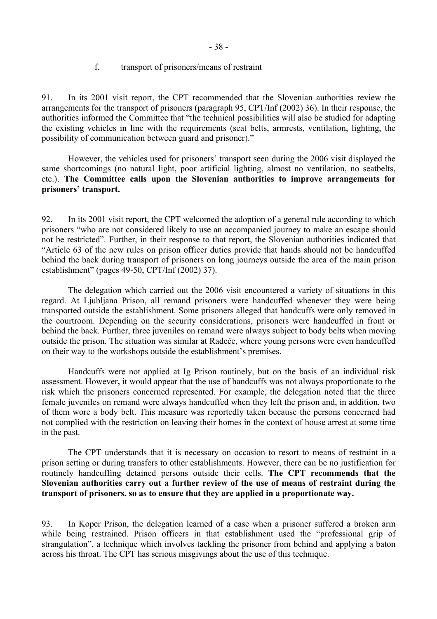### f. transport of prisoners/means of restraint

<span id="page-37-0"></span>91. In its 2001 visit report, the CPT recommended that the Slovenian authorities review the arrangements for the transport of prisoners (paragraph 95, CPT/Inf (2002) 36). In their response, the authorities informed the Committee that "the technical possibilities will also be studied for adapting the existing vehicles in line with the requirements (seat belts, armrests, ventilation, lighting, the possibility of communication between guard and prisoner)."

However, the vehicles used for prisoners' transport seen during the 2006 visit displayed the same shortcomings (no natural light, poor artificial lighting, almost no ventilation, no seatbelts, etc.). **The Committee calls upon the Slovenian authorities to improve arrangements for**  prisoners' transport.

92. In its 2001 visit report, the CPT welcomed the adoption of a general rule according to which prisoners "who are not considered likely to use an accompanied journey to make an escape should not be restricted". Further, in their response to that report, the Slovenian authorities indicated that ìArticle 63 of the new rules on prison officer duties provide that hands should not be handcuffed behind the back during transport of prisoners on long journeys outside the area of the main prison establishment" (pages  $49-50$ , CPT/Inf (2002) 37).

The delegation which carried out the 2006 visit encountered a variety of situations in this regard. At Ljubljana Prison, all remand prisoners were handcuffed whenever they were being transported outside the establishment. Some prisoners alleged that handcuffs were only removed in the courtroom. Depending on the security considerations, prisoners were handcuffed in front or behind the back. Further, three juveniles on remand were always subject to body belts when moving outside the prison. The situation was similar at Radeče, where young persons were even handcuffed on their way to the workshops outside the establishment's premises.

 Handcuffs were not applied at Ig Prison routinely, but on the basis of an individual risk assessment. However**,** it would appear that the use of handcuffs was not always proportionate to the risk which the prisoners concerned represented. For example, the delegation noted that the three female juveniles on remand were always handcuffed when they left the prison and, in addition, two of them wore a body belt. This measure was reportedly taken because the persons concerned had not complied with the restriction on leaving their homes in the context of house arrest at some time in the past.

 The CPT understands that it is necessary on occasion to resort to means of restraint in a prison setting or during transfers to other establishments. However, there can be no justification for routinely handcuffing detained persons outside their cells. **The CPT recommends that the Slovenian authorities carry out a further review of the use of means of restraint during the transport of prisoners, so as to ensure that they are applied in a proportionate way.** 

93. In Koper Prison, the delegation learned of a case when a prisoner suffered a broken arm while being restrained. Prison officers in that establishment used the "professional grip of strangulation", a technique which involves tackling the prisoner from behind and applying a baton across his throat. The CPT has serious misgivings about the use of this technique.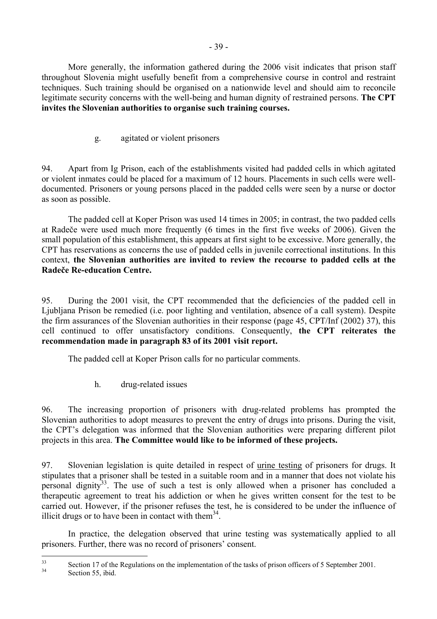<span id="page-38-0"></span> More generally, the information gathered during the 2006 visit indicates that prison staff throughout Slovenia might usefully benefit from a comprehensive course in control and restraint techniques. Such training should be organised on a nationwide level and should aim to reconcile legitimate security concerns with the well-being and human dignity of restrained persons. **The CPT invites the Slovenian authorities to organise such training courses.** 

g. agitated or violent prisoners

94. Apart from Ig Prison, each of the establishments visited had padded cells in which agitated or violent inmates could be placed for a maximum of 12 hours. Placements in such cells were welldocumented. Prisoners or young persons placed in the padded cells were seen by a nurse or doctor as soon as possible.

The padded cell at Koper Prison was used 14 times in 2005; in contrast, the two padded cells at Radeče were used much more frequently (6 times in the first five weeks of 2006). Given the small population of this establishment, this appears at first sight to be excessive. More generally, the CPT has reservations as concerns the use of padded cells in juvenile correctional institutions. In this context, **the Slovenian authorities are invited to review the recourse to padded cells at the Radeče Re-education Centre.** 

95. During the 2001 visit, the CPT recommended that the deficiencies of the padded cell in Ljubljana Prison be remedied (i.e. poor lighting and ventilation, absence of a call system). Despite the firm assurances of the Slovenian authorities in their response (page 45, CPT/Inf (2002) 37), this cell continued to offer unsatisfactory conditions. Consequently, **the CPT reiterates the recommendation made in paragraph 83 of its 2001 visit report.** 

The padded cell at Koper Prison calls for no particular comments.

h. drug-related issues

96. The increasing proportion of prisoners with drug-related problems has prompted the Slovenian authorities to adopt measures to prevent the entry of drugs into prisons. During the visit, the CPT's delegation was informed that the Slovenian authorities were preparing different pilot projects in this area. **The Committee would like to be informed of these projects.** 

97. Slovenian legislation is quite detailed in respect of urine testing of prisoners for drugs. It stipulates that a prisoner shall be tested in a suitable room and in a manner that does not violate his personal dignity<sup>33</sup>. The use of such a test is only allowed when a prisoner has concluded a therapeutic agreement to treat his addiction or when he gives written consent for the test to be carried out. However, if the prisoner refuses the test, he is considered to be under the influence of illicit drugs or to have been in contact with them<sup>34</sup>.

In practice, the delegation observed that urine testing was systematically applied to all prisoners. Further, there was no record of prisoners' consent.

<span id="page-38-1"></span> $33$  $33$  Section 17 of the Regulations on the implementation of the tasks of prison officers of 5 September 2001.

<span id="page-38-2"></span>Section 55, ibid.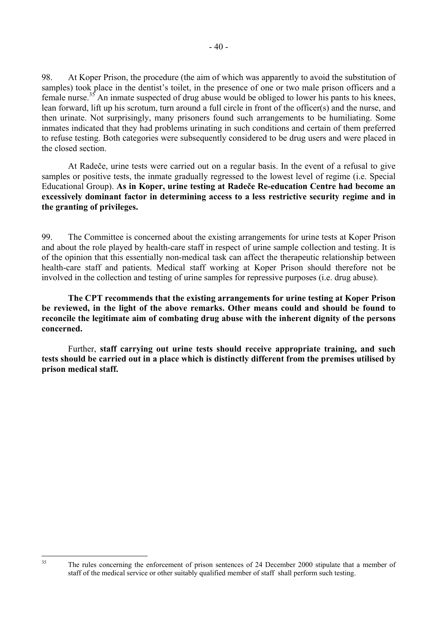98. At Koper Prison, the procedure (the aim of which was apparently to avoid the substitution of samples) took place in the dentist's toilet, in the presence of one or two male prison officers and a female nurse.<sup>35</sup> An inmate suspected of drug abuse would be obliged to lower his pants to his knees, lean forward, lift up his scrotum, turn around a full circle in front of the officer(s) and the nurse, and then urinate. Not surprisingly, many prisoners found such arrangements to be humiliating. Some inmates indicated that they had problems urinating in such conditions and certain of them preferred to refuse testing. Both categories were subsequently considered to be drug users and were placed in the closed section.

 At Radeče, urine tests were carried out on a regular basis. In the event of a refusal to give samples or positive tests, the inmate gradually regressed to the lowest level of regime (i.e. Special Educational Group). **As in Koper, urine testing at Radeče Re-education Centre had become an excessively dominant factor in determining access to a less restrictive security regime and in the granting of privileges.** 

99. The Committee is concerned about the existing arrangements for urine tests at Koper Prison and about the role played by health-care staff in respect of urine sample collection and testing. It is of the opinion that this essentially non-medical task can affect the therapeutic relationship between health-care staff and patients. Medical staff working at Koper Prison should therefore not be involved in the collection and testing of urine samples for repressive purposes (i.e. drug abuse).

**The CPT recommends that the existing arrangements for urine testing at Koper Prison be reviewed, in the light of the above remarks. Other means could and should be found to reconcile the legitimate aim of combating drug abuse with the inherent dignity of the persons concerned.** 

Further, **staff carrying out urine tests should receive appropriate training, and such tests should be carried out in a place which is distinctly different from the premises utilised by prison medical staff.** 

<span id="page-39-0"></span> $35$ 

 $-40-$ 

The rules concerning the enforcement of prison sentences of 24 December 2000 stipulate that a member of staff of the medical service or other suitably qualified member of staff shall perform such testing.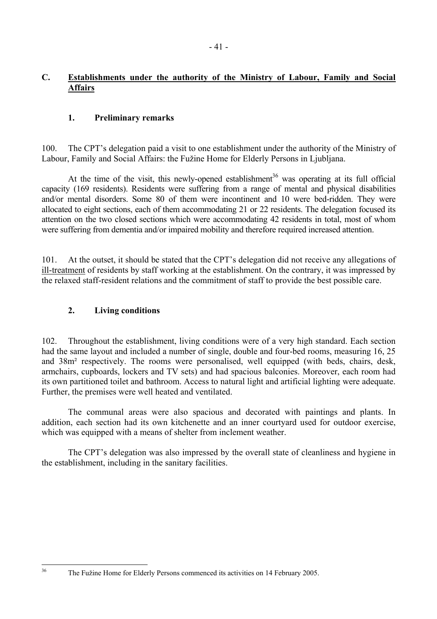## <span id="page-40-0"></span>**1. Preliminary remarks**

100. The CPT's delegation paid a visit to one establishment under the authority of the Ministry of Labour, Family and Social Affairs: the Fužine Home for Elderly Persons in Ljubliana.

At the time of the visit, this newly-opened establishment<sup>36</sup> was operating at its full official capacity (169 residents). Residents were suffering from a range of mental and physical disabilities and/or mental disorders. Some 80 of them were incontinent and 10 were bed-ridden. They were allocated to eight sections, each of them accommodating 21 or 22 residents. The delegation focused its attention on the two closed sections which were accommodating 42 residents in total, most of whom were suffering from dementia and/or impaired mobility and therefore required increased attention.

101. At the outset, it should be stated that the CPT's delegation did not receive any allegations of ill-treatment of residents by staff working at the establishment. On the contrary, it was impressed by the relaxed staff-resident relations and the commitment of staff to provide the best possible care.

## **2. Living conditions**

102. Throughout the establishment, living conditions were of a very high standard. Each section had the same layout and included a number of single, double and four-bed rooms, measuring 16, 25 and 38m² respectively. The rooms were personalised, well equipped (with beds, chairs, desk, armchairs, cupboards, lockers and TV sets) and had spacious balconies. Moreover, each room had its own partitioned toilet and bathroom. Access to natural light and artificial lighting were adequate. Further, the premises were well heated and ventilated.

The communal areas were also spacious and decorated with paintings and plants. In addition, each section had its own kitchenette and an inner courtyard used for outdoor exercise, which was equipped with a means of shelter from inclement weather.

The CPT's delegation was also impressed by the overall state of cleanliness and hygiene in the establishment, including in the sanitary facilities.

<span id="page-40-1"></span> $36$ 

The Fužine Home for Elderly Persons commenced its activities on 14 February 2005.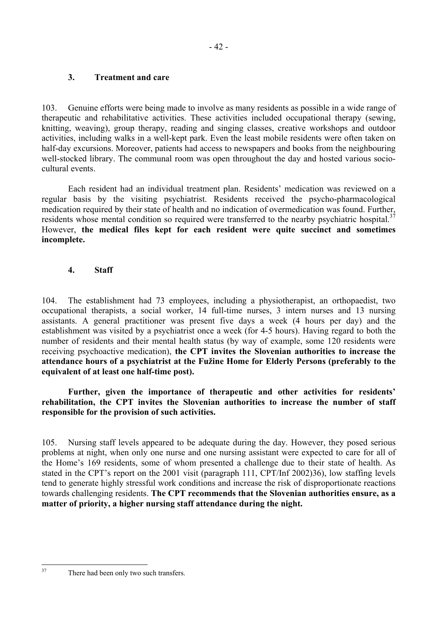## <span id="page-41-0"></span>**3. Treatment and care**

103. Genuine efforts were being made to involve as many residents as possible in a wide range of therapeutic and rehabilitative activities. These activities included occupational therapy (sewing, knitting, weaving), group therapy, reading and singing classes, creative workshops and outdoor activities, including walks in a well-kept park. Even the least mobile residents were often taken on half-day excursions. Moreover, patients had access to newspapers and books from the neighbouring well-stocked library. The communal room was open throughout the day and hosted various sociocultural events.

Each resident had an individual treatment plan. Residents' medication was reviewed on a regular basis by the visiting psychiatrist. Residents received the psycho-pharmacological medication required by their state of health and no indication of overmedication was found. Further, residents whose mental condition so required were transferred to the nearby psychiatric hospital.<sup>[37](#page-41-1)</sup> However, **the medical files kept for each resident were quite succinct and sometimes incomplete.** 

## **4. Staff**

104. The establishment had 73 employees, including a physiotherapist, an orthopaedist, two occupational therapists, a social worker, 14 full-time nurses, 3 intern nurses and 13 nursing assistants. A general practitioner was present five days a week (4 hours per day) and the establishment was visited by a psychiatrist once a week (for 4-5 hours). Having regard to both the number of residents and their mental health status (by way of example, some 120 residents were receiving psychoactive medication), **the CPT invites the Slovenian authorities to increase the**  attendance hours of a psychiatrist at the Fužine Home for Elderly Persons (preferably to the **equivalent of at least one half-time post).**

Further, given the importance of therapeutic and other activities for residents' **rehabilitation, the CPT invites the Slovenian authorities to increase the number of staff responsible for the provision of such activities.** 

105. Nursing staff levels appeared to be adequate during the day. However, they posed serious problems at night, when only one nurse and one nursing assistant were expected to care for all of the Home's 169 residents, some of whom presented a challenge due to their state of health. As stated in the CPT's report on the  $2001$  visit (paragraph 111, CPT/Inf  $200236$ ), low staffing levels tend to generate highly stressful work conditions and increase the risk of disproportionate reactions towards challenging residents. **The CPT recommends that the Slovenian authorities ensure, as a matter of priority, a higher nursing staff attendance during the night.** 

<span id="page-41-1"></span> $37$ 

There had been only two such transfers.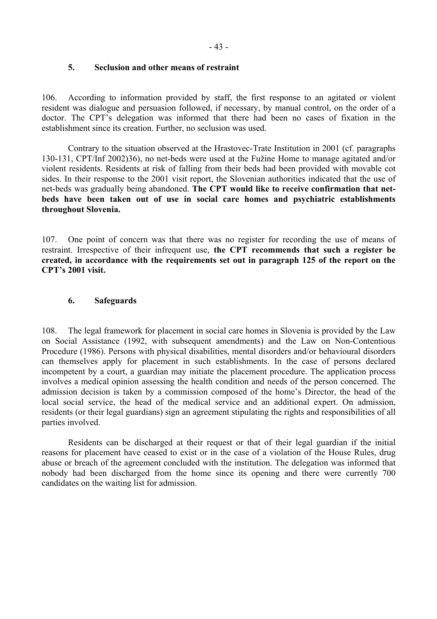### <span id="page-42-0"></span>**5. Seclusion and other means of restraint**

106. According to information provided by staff, the first response to an agitated or violent resident was dialogue and persuasion followed, if necessary, by manual control, on the order of a doctor. The CPT's delegation was informed that there had been no cases of fixation in the establishment since its creation. Further, no seclusion was used.

 Contrary to the situation observed at the Hrastovec-Trate Institution in 2001 (cf. paragraphs 130-131, CPT/Inf 2002)36), no net-beds were used at the Fuûine Home to manage agitated and/or violent residents. Residents at risk of falling from their beds had been provided with movable cot sides. In their response to the 2001 visit report, the Slovenian authorities indicated that the use of net-beds was gradually being abandoned. **The CPT would like to receive confirmation that netbeds have been taken out of use in social care homes and psychiatric establishments throughout Slovenia.**

107. One point of concern was that there was no register for recording the use of means of restraint. Irrespective of their infrequent use, **the CPT recommends that such a register be created, in accordance with the requirements set out in paragraph 125 of the report on the CPT's 2001 visit.** 

### **6. Safeguards**

108. The legal framework for placement in social care homes in Slovenia is provided by the Law on Social Assistance (1992, with subsequent amendments) and the Law on Non-Contentious Procedure (1986). Persons with physical disabilities, mental disorders and/or behavioural disorders can themselves apply for placement in such establishments. In the case of persons declared incompetent by a court, a guardian may initiate the placement procedure. The application process involves a medical opinion assessing the health condition and needs of the person concerned. The admission decision is taken by a commission composed of the home's Director, the head of the local social service, the head of the medical service and an additional expert. On admission, residents (or their legal guardians) sign an agreement stipulating the rights and responsibilities of all parties involved.

 Residents can be discharged at their request or that of their legal guardian if the initial reasons for placement have ceased to exist or in the case of a violation of the House Rules, drug abuse or breach of the agreement concluded with the institution. The delegation was informed that nobody had been discharged from the home since its opening and there were currently 700 candidates on the waiting list for admission.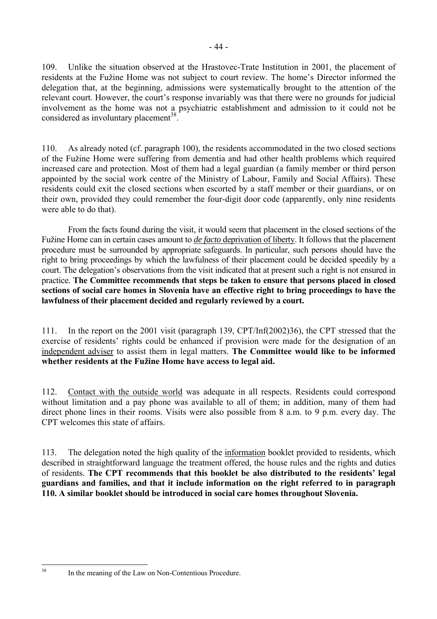109. Unlike the situation observed at the Hrastovec-Trate Institution in 2001, the placement of residents at the Fužine Home was not subject to court review. The home's Director informed the delegation that, at the beginning, admissions were systematically brought to the attention of the relevant court. However, the court's response invariably was that there were no grounds for judicial involvement as the home was not a psychiatric establishment and admission to it could not be considered as involuntary placement<sup>38</sup>.

110. As already noted (cf. paragraph 100), the residents accommodated in the two closed sections of the Fužine Home were suffering from dementia and had other health problems which required increased care and protection. Most of them had a legal guardian (a family member or third person appointed by the social work centre of the Ministry of Labour, Family and Social Affairs). These residents could exit the closed sections when escorted by a staff member or their guardians, or on their own, provided they could remember the four-digit door code (apparently, only nine residents were able to do that).

 From the facts found during the visit, it would seem that placement in the closed sections of the Fužine Home can in certain cases amount to *de facto deprivation of liberty*. It follows that the placement procedure must be surrounded by appropriate safeguards. In particular, such persons should have the right to bring proceedings by which the lawfulness of their placement could be decided speedily by a court. The delegation's observations from the visit indicated that at present such a right is not ensured in practice. **The Committee recommends that steps be taken to ensure that persons placed in closed sections of social care homes in Slovenia have an effective right to bring proceedings to have the lawfulness of their placement decided and regularly reviewed by a court.**

111. In the report on the 2001 visit (paragraph 139, CPT/Inf(2002)36), the CPT stressed that the exercise of residents' rights could be enhanced if provision were made for the designation of an independent adviser to assist them in legal matters. **The Committee would like to be informed**  whether residents at the Fužine Home have access to legal aid.

112. Contact with the outside world was adequate in all respects. Residents could correspond without limitation and a pay phone was available to all of them; in addition, many of them had direct phone lines in their rooms. Visits were also possible from 8 a.m. to 9 p.m. every day. The CPT welcomes this state of affairs.

113. The delegation noted the high quality of the information booklet provided to residents, which described in straightforward language the treatment offered, the house rules and the rights and duties of residents. **The CPT recommends that this booklet be also distributed to the residentsí legal guardians and families, and that it include information on the right referred to in paragraph 110. A similar booklet should be introduced in social care homes throughout Slovenia.**

<span id="page-43-0"></span> $38$ 

In the meaning of the Law on Non-Contentious Procedure.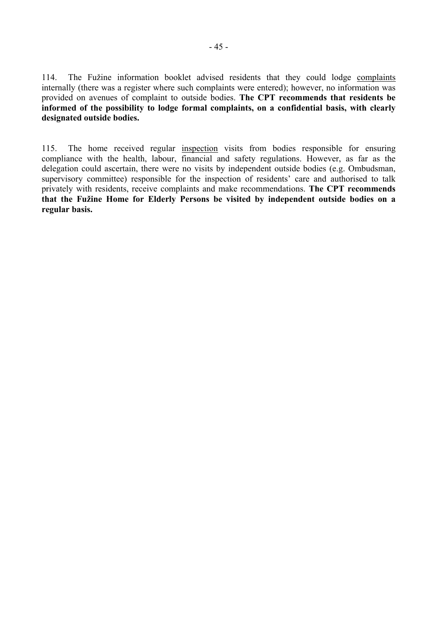114. The Fužine information booklet advised residents that they could lodge complaints internally (there was a register where such complaints were entered); however, no information was provided on avenues of complaint to outside bodies. **The CPT recommends that residents be informed of the possibility to lodge formal complaints, on a confidential basis, with clearly designated outside bodies.** 

115. The home received regular inspection visits from bodies responsible for ensuring compliance with the health, labour, financial and safety regulations. However, as far as the delegation could ascertain, there were no visits by independent outside bodies (e.g. Ombudsman, supervisory committee) responsible for the inspection of residents' care and authorised to talk privately with residents, receive complaints and make recommendations. **The CPT recommends that the Fuûine Home for Elderly Persons be visited by independent outside bodies on a regular basis.**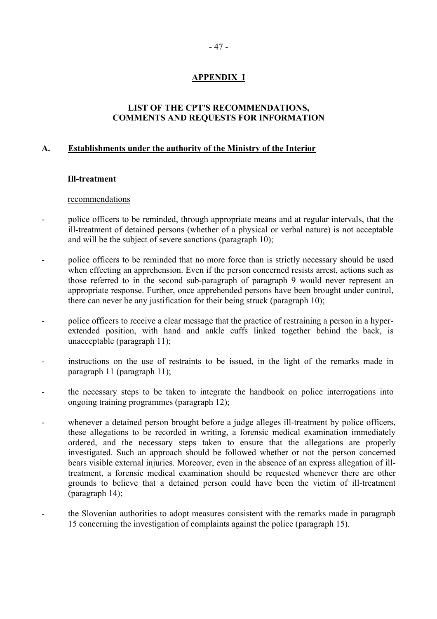## **APPENDIX I**

### **LIST OF THE CPT'S RECOMMENDATIONS, COMMENTS AND REQUESTS FOR INFORMATION**

### <span id="page-46-0"></span>**A. Establishments under the authority of the Ministry of the Interior**

### **Ill-treatment**

### recommendations

- police officers to be reminded, through appropriate means and at regular intervals, that the ill-treatment of detained persons (whether of a physical or verbal nature) is not acceptable and will be the subject of severe sanctions (paragraph 10);
- police officers to be reminded that no more force than is strictly necessary should be used when effecting an apprehension. Even if the person concerned resists arrest, actions such as those referred to in the second sub-paragraph of paragraph 9 would never represent an appropriate response. Further, once apprehended persons have been brought under control, there can never be any justification for their being struck (paragraph 10);
- police officers to receive a clear message that the practice of restraining a person in a hyperextended position, with hand and ankle cuffs linked together behind the back, is unacceptable (paragraph 11);
- instructions on the use of restraints to be issued, in the light of the remarks made in paragraph 11 (paragraph 11);
- the necessary steps to be taken to integrate the handbook on police interrogations into ongoing training programmes (paragraph 12);
- whenever a detained person brought before a judge alleges ill-treatment by police officers, these allegations to be recorded in writing, a forensic medical examination immediately ordered, and the necessary steps taken to ensure that the allegations are properly investigated. Such an approach should be followed whether or not the person concerned bears visible external injuries. Moreover, even in the absence of an express allegation of illtreatment, a forensic medical examination should be requested whenever there are other grounds to believe that a detained person could have been the victim of ill-treatment (paragraph 14);
- the Slovenian authorities to adopt measures consistent with the remarks made in paragraph 15 concerning the investigation of complaints against the police (paragraph 15).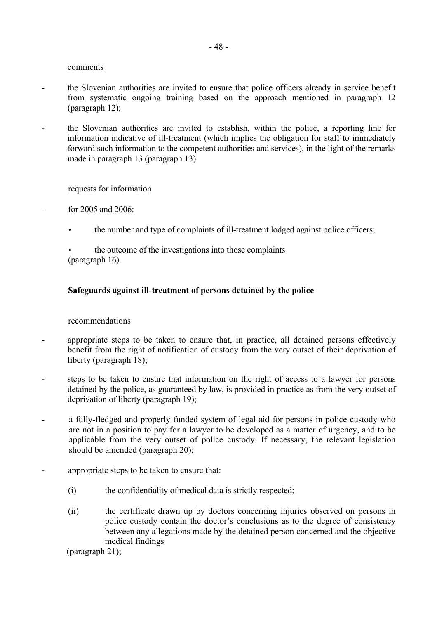- the Slovenian authorities are invited to ensure that police officers already in service benefit from systematic ongoing training based on the approach mentioned in paragraph 12 (paragraph 12);
- the Slovenian authorities are invited to establish, within the police, a reporting line for information indicative of ill-treatment (which implies the obligation for staff to immediately forward such information to the competent authorities and services), in the light of the remarks made in paragraph 13 (paragraph 13).

#### requests for information

- for 2005 and 2006:
	- the number and type of complaints of ill-treatment lodged against police officers;
	- the outcome of the investigations into those complaints (paragraph 16).

### **Safeguards against ill-treatment of persons detained by the police**

#### recommendations

- appropriate steps to be taken to ensure that, in practice, all detained persons effectively benefit from the right of notification of custody from the very outset of their deprivation of liberty (paragraph 18);
- steps to be taken to ensure that information on the right of access to a lawyer for persons detained by the police, as guaranteed by law, is provided in practice as from the very outset of deprivation of liberty (paragraph 19);
- a fully-fledged and properly funded system of legal aid for persons in police custody who are not in a position to pay for a lawyer to be developed as a matter of urgency, and to be applicable from the very outset of police custody. If necessary, the relevant legislation should be amended (paragraph 20);
- appropriate steps to be taken to ensure that:
	- (i) the confidentiality of medical data is strictly respected;
	- (ii) the certificate drawn up by doctors concerning injuries observed on persons in police custody contain the doctor's conclusions as to the degree of consistency between any allegations made by the detained person concerned and the objective medical findings

(paragraph 21);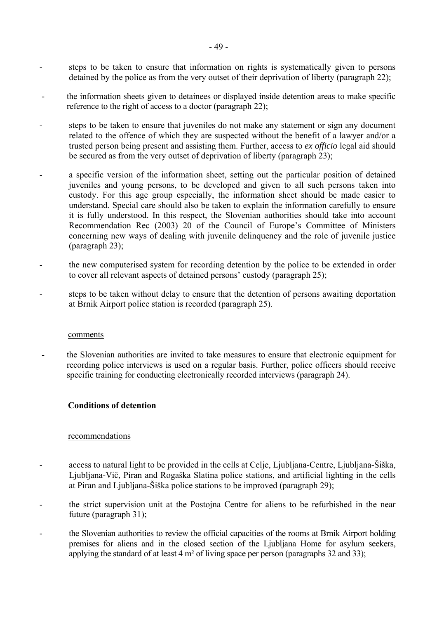- steps to be taken to ensure that information on rights is systematically given to persons detained by the police as from the very outset of their deprivation of liberty (paragraph 22);
- the information sheets given to detainees or displayed inside detention areas to make specific reference to the right of access to a doctor (paragraph 22);
- steps to be taken to ensure that juveniles do not make any statement or sign any document related to the offence of which they are suspected without the benefit of a lawyer and/or a trusted person being present and assisting them. Further, access to *ex officio* legal aid should be secured as from the very outset of deprivation of liberty (paragraph 23);
- a specific version of the information sheet, setting out the particular position of detained juveniles and young persons, to be developed and given to all such persons taken into custody. For this age group especially, the information sheet should be made easier to understand. Special care should also be taken to explain the information carefully to ensure it is fully understood. In this respect, the Slovenian authorities should take into account Recommendation Rec (2003) 20 of the Council of Europe's Committee of Ministers concerning new ways of dealing with juvenile delinquency and the role of juvenile justice (paragraph 23);
- the new computerised system for recording detention by the police to be extended in order to cover all relevant aspects of detained persons' custody (paragraph 25);
- steps to be taken without delay to ensure that the detention of persons awaiting deportation at Brnik Airport police station is recorded (paragraph 25).

- the Slovenian authorities are invited to take measures to ensure that electronic equipment for recording police interviews is used on a regular basis. Further, police officers should receive specific training for conducting electronically recorded interviews (paragraph 24).

### **Conditions of detention**

#### recommendations

- access to natural light to be provided in the cells at Celje, Ljubljana-Centre, Ljubljana-Šiška, Ljubljana-Vič, Piran and Rogaöka Slatina police stations, and artificial lighting in the cells at Piran and Ljubljana-äiöka police stations to be improved (paragraph 29);
- the strict supervision unit at the Postojna Centre for aliens to be refurbished in the near future (paragraph 31);
- the Slovenian authorities to review the official capacities of the rooms at Brnik Airport holding premises for aliens and in the closed section of the Ljubljana Home for asylum seekers, applying the standard of at least 4 m² of living space per person (paragraphs 32 and 33);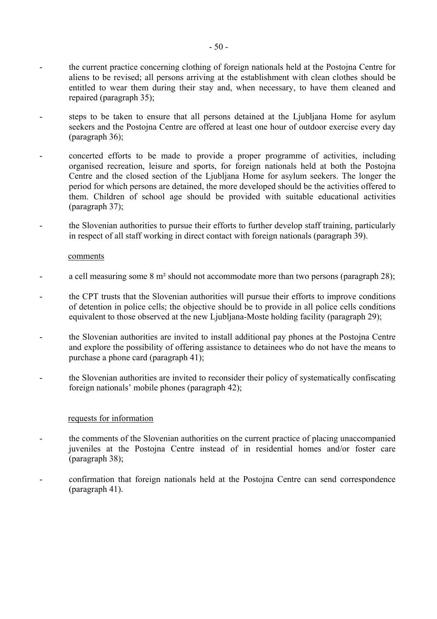- the current practice concerning clothing of foreign nationals held at the Postojna Centre for aliens to be revised; all persons arriving at the establishment with clean clothes should be entitled to wear them during their stay and, when necessary, to have them cleaned and repaired (paragraph 35);
- steps to be taken to ensure that all persons detained at the Ljubljana Home for asylum seekers and the Postojna Centre are offered at least one hour of outdoor exercise every day (paragraph 36);
- concerted efforts to be made to provide a proper programme of activities, including organised recreation, leisure and sports, for foreign nationals held at both the Postojna Centre and the closed section of the Ljubljana Home for asylum seekers. The longer the period for which persons are detained, the more developed should be the activities offered to them. Children of school age should be provided with suitable educational activities (paragraph 37);
- the Slovenian authorities to pursue their efforts to further develop staff training, particularly in respect of all staff working in direct contact with foreign nationals (paragraph 39).

- a cell measuring some  $8 \text{ m}^2$  should not accommodate more than two persons (paragraph 28);
- the CPT trusts that the Slovenian authorities will pursue their efforts to improve conditions of detention in police cells; the objective should be to provide in all police cells conditions equivalent to those observed at the new Ljubljana-Moste holding facility (paragraph 29);
- the Slovenian authorities are invited to install additional pay phones at the Postojna Centre and explore the possibility of offering assistance to detainees who do not have the means to purchase a phone card (paragraph 41);
- the Slovenian authorities are invited to reconsider their policy of systematically confiscating foreign nationals' mobile phones (paragraph  $42$ );

### requests for information

- the comments of the Slovenian authorities on the current practice of placing unaccompanied juveniles at the Postojna Centre instead of in residential homes and/or foster care (paragraph 38);
- confirmation that foreign nationals held at the Postojna Centre can send correspondence (paragraph 41).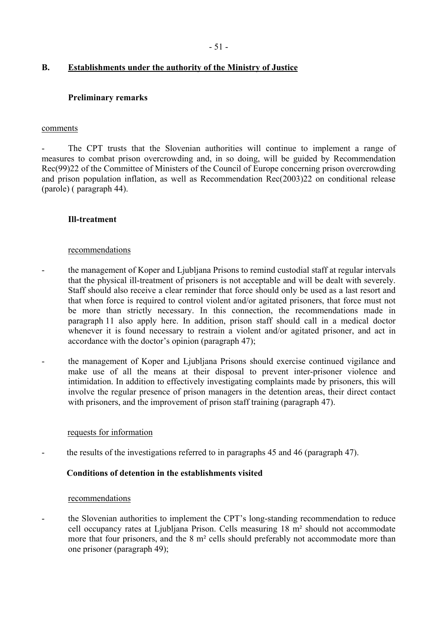### **B. Establishments under the authority of the Ministry of Justice**

### **Preliminary remarks**

#### comments

The CPT trusts that the Slovenian authorities will continue to implement a range of measures to combat prison overcrowding and, in so doing, will be guided by Recommendation Rec(99)22 of the Committee of Ministers of the Council of Europe concerning prison overcrowding and prison population inflation, as well as Recommendation Rec(2003)22 on conditional release (parole) ( paragraph 44).

### **Ill-treatment**

#### recommendations

- the management of Koper and Ljubljana Prisons to remind custodial staff at regular intervals that the physical ill-treatment of prisoners is not acceptable and will be dealt with severely. Staff should also receive a clear reminder that force should only be used as a last resort and that when force is required to control violent and/or agitated prisoners, that force must not be more than strictly necessary. In this connection, the recommendations made in paragraph 11 also apply here. In addition, prison staff should call in a medical doctor whenever it is found necessary to restrain a violent and/or agitated prisoner, and act in accordance with the doctor's opinion (paragraph  $47$ );
- the management of Koper and Ljubljana Prisons should exercise continued vigilance and make use of all the means at their disposal to prevent inter-prisoner violence and intimidation. In addition to effectively investigating complaints made by prisoners, this will involve the regular presence of prison managers in the detention areas, their direct contact with prisoners, and the improvement of prison staff training (paragraph 47).

#### requests for information

the results of the investigations referred to in paragraphs 45 and 46 (paragraph 47).

### **Conditions of detention in the establishments visited**

#### recommendations

the Slovenian authorities to implement the CPT's long-standing recommendation to reduce cell occupancy rates at Ljubljana Prison. Cells measuring 18 m² should not accommodate more that four prisoners, and the 8 m<sup>2</sup> cells should preferably not accommodate more than one prisoner (paragraph 49);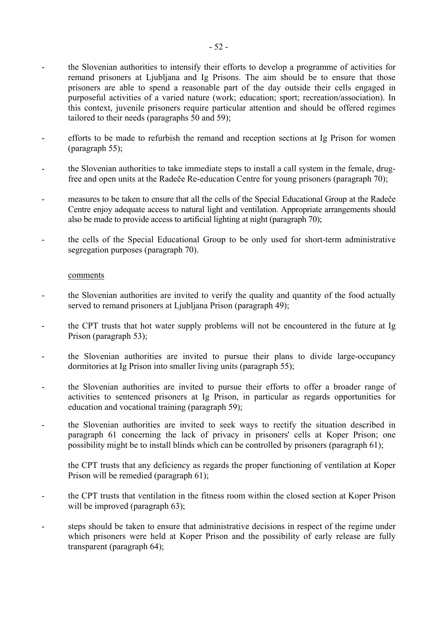- the Slovenian authorities to intensify their efforts to develop a programme of activities for remand prisoners at Ljubljana and Ig Prisons. The aim should be to ensure that those prisoners are able to spend a reasonable part of the day outside their cells engaged in purposeful activities of a varied nature (work; education; sport; recreation/association). In this context, juvenile prisoners require particular attention and should be offered regimes tailored to their needs (paragraphs 50 and 59);
- efforts to be made to refurbish the remand and reception sections at Ig Prison for women (paragraph 55);
- the Slovenian authorities to take immediate steps to install a call system in the female, drugfree and open units at the Radeče Re-education Centre for young prisoners (paragraph 70);
- measures to be taken to ensure that all the cells of the Special Educational Group at the Radeče Centre enjoy adequate access to natural light and ventilation. Appropriate arrangements should also be made to provide access to artificial lighting at night (paragraph 70);
- the cells of the Special Educational Group to be only used for short-term administrative segregation purposes (paragraph 70).

- the Slovenian authorities are invited to verify the quality and quantity of the food actually served to remand prisoners at Ljubljana Prison (paragraph 49);
- the CPT trusts that hot water supply problems will not be encountered in the future at Ig Prison (paragraph 53);
- the Slovenian authorities are invited to pursue their plans to divide large-occupancy dormitories at Ig Prison into smaller living units (paragraph 55);
- the Slovenian authorities are invited to pursue their efforts to offer a broader range of activities to sentenced prisoners at Ig Prison, in particular as regards opportunities for education and vocational training (paragraph 59);
- the Slovenian authorities are invited to seek ways to rectify the situation described in paragraph 61 concerning the lack of privacy in prisoners' cells at Koper Prison; one possibility might be to install blinds which can be controlled by prisoners (paragraph 61);
	- the CPT trusts that any deficiency as regards the proper functioning of ventilation at Koper Prison will be remedied (paragraph 61);
- the CPT trusts that ventilation in the fitness room within the closed section at Koper Prison will be improved (paragraph 63);
- steps should be taken to ensure that administrative decisions in respect of the regime under which prisoners were held at Koper Prison and the possibility of early release are fully transparent (paragraph 64);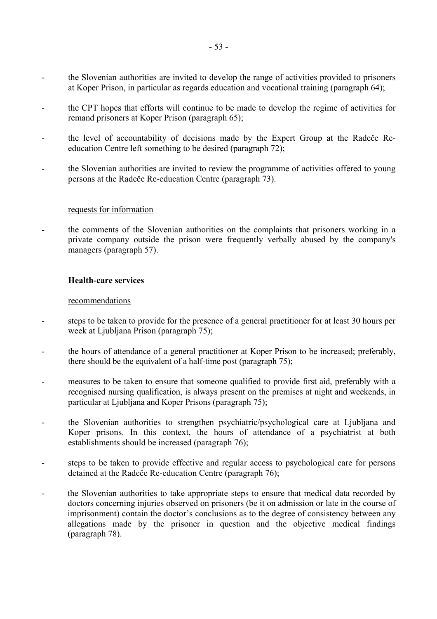- the Slovenian authorities are invited to develop the range of activities provided to prisoners at Koper Prison, in particular as regards education and vocational training (paragraph 64);
- the CPT hopes that efforts will continue to be made to develop the regime of activities for remand prisoners at Koper Prison (paragraph 65);
- the level of accountability of decisions made by the Expert Group at the Radeče Reeducation Centre left something to be desired (paragraph 72);
- the Slovenian authorities are invited to review the programme of activities offered to young persons at the Radeče Re-education Centre (paragraph 73).

#### requests for information

- the comments of the Slovenian authorities on the complaints that prisoners working in a private company outside the prison were frequently verbally abused by the company's managers (paragraph 57).

### **Health-care services**

#### recommendations

- steps to be taken to provide for the presence of a general practitioner for at least 30 hours per week at Ljubljana Prison (paragraph 75);
- the hours of attendance of a general practitioner at Koper Prison to be increased; preferably, there should be the equivalent of a half-time post (paragraph 75);
- measures to be taken to ensure that someone qualified to provide first aid, preferably with a recognised nursing qualification, is always present on the premises at night and weekends, in particular at Ljubljana and Koper Prisons (paragraph 75);
- the Slovenian authorities to strengthen psychiatric/psychological care at Ljubljana and Koper prisons. In this context, the hours of attendance of a psychiatrist at both establishments should be increased (paragraph 76);
- steps to be taken to provide effective and regular access to psychological care for persons detained at the Radeče Re-education Centre (paragraph 76);
- the Slovenian authorities to take appropriate steps to ensure that medical data recorded by doctors concerning injuries observed on prisoners (be it on admission or late in the course of imprisonment) contain the doctor's conclusions as to the degree of consistency between any allegations made by the prisoner in question and the objective medical findings (paragraph 78).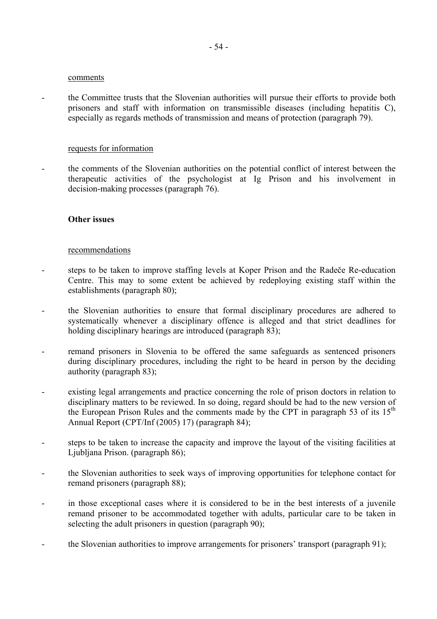- the Committee trusts that the Slovenian authorities will pursue their efforts to provide both prisoners and staff with information on transmissible diseases (including hepatitis C), especially as regards methods of transmission and means of protection (paragraph 79).

#### requests for information

the comments of the Slovenian authorities on the potential conflict of interest between the therapeutic activities of the psychologist at Ig Prison and his involvement in decision-making processes (paragraph 76).

#### **Other issues**

#### recommendations

- steps to be taken to improve staffing levels at Koper Prison and the Radeče Re-education Centre. This may to some extent be achieved by redeploying existing staff within the establishments (paragraph 80);
- the Slovenian authorities to ensure that formal disciplinary procedures are adhered to systematically whenever a disciplinary offence is alleged and that strict deadlines for holding disciplinary hearings are introduced (paragraph 83);
- remand prisoners in Slovenia to be offered the same safeguards as sentenced prisoners during disciplinary procedures, including the right to be heard in person by the deciding authority (paragraph 83);
- existing legal arrangements and practice concerning the role of prison doctors in relation to disciplinary matters to be reviewed. In so doing, regard should be had to the new version of the European Prison Rules and the comments made by the CPT in paragraph 53 of its  $15<sup>th</sup>$ Annual Report (CPT/Inf (2005) 17) (paragraph 84);
- steps to be taken to increase the capacity and improve the layout of the visiting facilities at Ljubljana Prison. (paragraph 86);
- the Slovenian authorities to seek ways of improving opportunities for telephone contact for remand prisoners (paragraph 88);
- in those exceptional cases where it is considered to be in the best interests of a juvenile remand prisoner to be accommodated together with adults, particular care to be taken in selecting the adult prisoners in question (paragraph 90);
- the Slovenian authorities to improve arrangements for prisoners' transport (paragraph 91);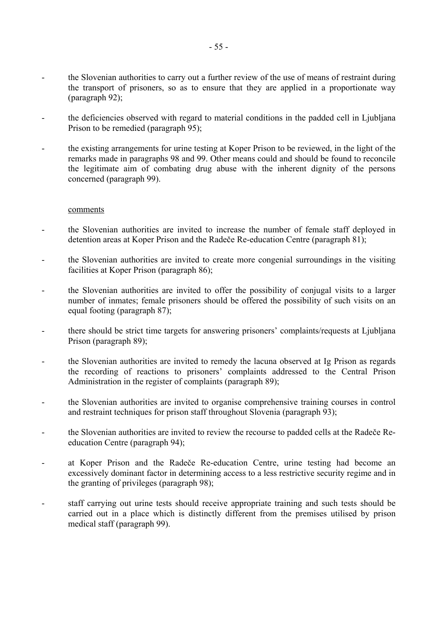- the Slovenian authorities to carry out a further review of the use of means of restraint during the transport of prisoners, so as to ensure that they are applied in a proportionate way (paragraph 92);
- the deficiencies observed with regard to material conditions in the padded cell in Ljubljana Prison to be remedied (paragraph 95);
- the existing arrangements for urine testing at Koper Prison to be reviewed, in the light of the remarks made in paragraphs 98 and 99. Other means could and should be found to reconcile the legitimate aim of combating drug abuse with the inherent dignity of the persons concerned (paragraph 99).

- the Slovenian authorities are invited to increase the number of female staff deployed in detention areas at Koper Prison and the Radeče Re-education Centre (paragraph 81);
- the Slovenian authorities are invited to create more congenial surroundings in the visiting facilities at Koper Prison (paragraph 86);
- the Slovenian authorities are invited to offer the possibility of conjugal visits to a larger number of inmates; female prisoners should be offered the possibility of such visits on an equal footing (paragraph 87);
- there should be strict time targets for answering prisoners' complaints/requests at Ljubljana Prison (paragraph 89);
- the Slovenian authorities are invited to remedy the lacuna observed at Ig Prison as regards the recording of reactions to prisoners' complaints addressed to the Central Prison Administration in the register of complaints (paragraph 89);
- the Slovenian authorities are invited to organise comprehensive training courses in control and restraint techniques for prison staff throughout Slovenia (paragraph 93);
- the Slovenian authorities are invited to review the recourse to padded cells at the Radeče Reeducation Centre (paragraph 94);
- at Koper Prison and the Radeče Re-education Centre, urine testing had become an excessively dominant factor in determining access to a less restrictive security regime and in the granting of privileges (paragraph 98);
- staff carrying out urine tests should receive appropriate training and such tests should be carried out in a place which is distinctly different from the premises utilised by prison medical staff (paragraph 99).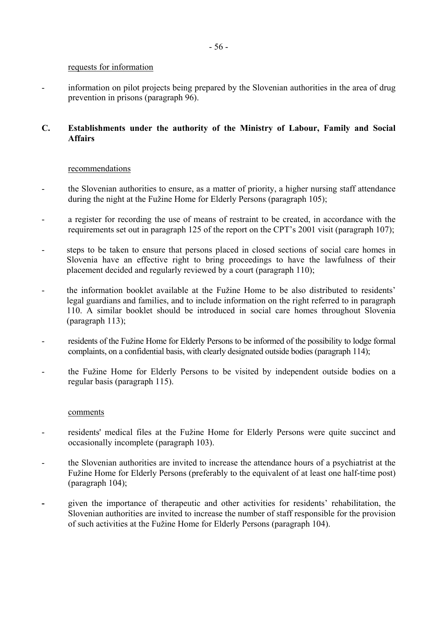### requests for information

- information on pilot projects being prepared by the Slovenian authorities in the area of drug prevention in prisons (paragraph 96).

### **C. Establishments under the authority of the Ministry of Labour, Family and Social Affairs**

### recommendations

- the Slovenian authorities to ensure, as a matter of priority, a higher nursing staff attendance during the night at the Fužine Home for Elderly Persons (paragraph 105);
- a register for recording the use of means of restraint to be created, in accordance with the requirements set out in paragraph 125 of the report on the CPT's 2001 visit (paragraph 107);
- steps to be taken to ensure that persons placed in closed sections of social care homes in Slovenia have an effective right to bring proceedings to have the lawfulness of their placement decided and regularly reviewed by a court (paragraph 110);
- the information booklet available at the Fužine Home to be also distributed to residents' legal guardians and families, and to include information on the right referred to in paragraph 110. A similar booklet should be introduced in social care homes throughout Slovenia (paragraph 113);
- residents of the Fužine Home for Elderly Persons to be informed of the possibility to lodge formal complaints, on a confidential basis, with clearly designated outside bodies (paragraph 114);
- the Fužine Home for Elderly Persons to be visited by independent outside bodies on a regular basis (paragraph 115).

### comments

- residents' medical files at the Fužine Home for Elderly Persons were quite succinct and occasionally incomplete (paragraph 103).
- the Slovenian authorities are invited to increase the attendance hours of a psychiatrist at the Fužine Home for Elderly Persons (preferably to the equivalent of at least one half-time post) (paragraph 104);
- **- given** the importance of therapeutic and other activities for residents' rehabilitation, the Slovenian authorities are invited to increase the number of staff responsible for the provision of such activities at the Fužine Home for Elderly Persons (paragraph 104).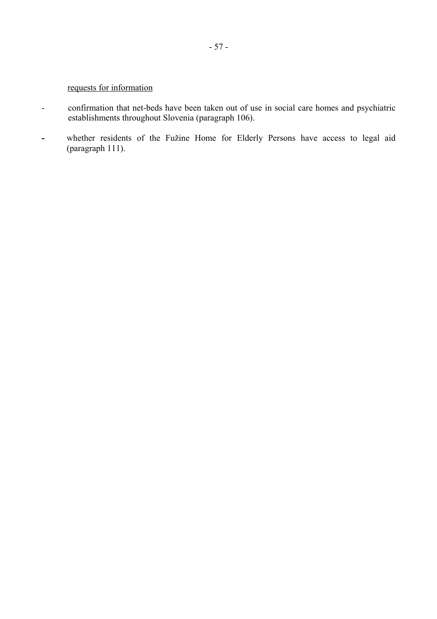## requests for information

- confirmation that net-beds have been taken out of use in social care homes and psychiatric establishments throughout Slovenia (paragraph 106).
- whether residents of the Fužine Home for Elderly Persons have access to legal aid (paragraph 111).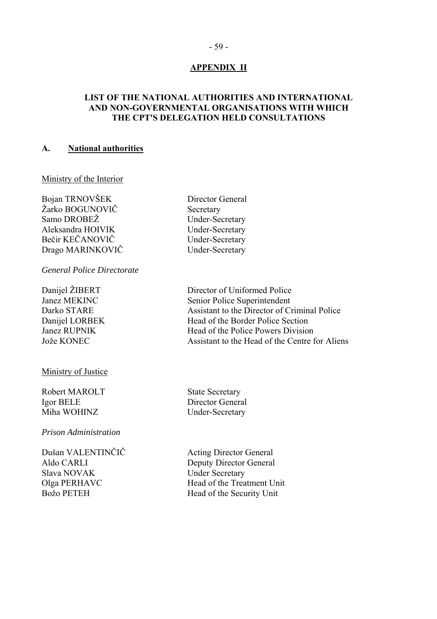### **APPENDIX II**

### <span id="page-58-0"></span>**LIST OF THE NATIONAL AUTHORITIES AND INTERNATIONAL AND NON-GOVERNMENTAL ORGANISATIONS WITH WHICH THE CPT'S DELEGATION HELD CONSULTATIONS**

#### **A. National authorities**

Ministry of the Interior

Bojan TRNOVäEK Director General Žarko BOGUNOVIČ Secretary Samo DROBEŽ Under-Secretary Aleksandra HOIVIK Under-Secretary Bečir KEČANOVIČ Under-Secretary Drago MARINKOVIČ Under-Secretary

*General Police Directorate* 

Ministry of Justice

Robert MAROLT State Secretary Igor BELE Director General Miha WOHINZ Under-Secretary

*Prison Administration* 

Dušan VALENTINČIČ Acting Director General Slava NOVAK Under Secretary

Danijel ŽIBERT Director of Uniformed Police Janez MEKINC Senior Police Superintendent Darko STARE Assistant to the Director of Criminal Police Danijel LORBEK Head of the Border Police Section Janez RUPNIK Head of the Police Powers Division Jože KONEC Assistant to the Head of the Centre for Aliens

Aldo CARLI Deputy Director General Olga PERHAVC Head of the Treatment Unit Božo PETEH Head of the Security Unit